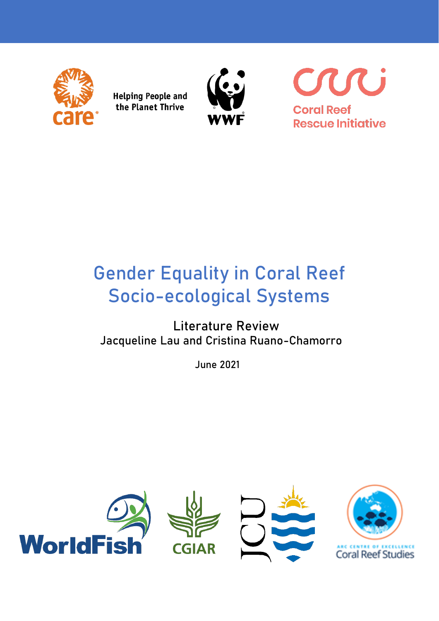

**Helping People and** the Planet Thrive



U **Coral Reef Rescue Initiative** 

# **Gender Equality in Coral Reef Socio-ecological Systems**

# **Literature Review Jacqueline Lau and Cristina Ruano-Chamorro**

 **June 2021**

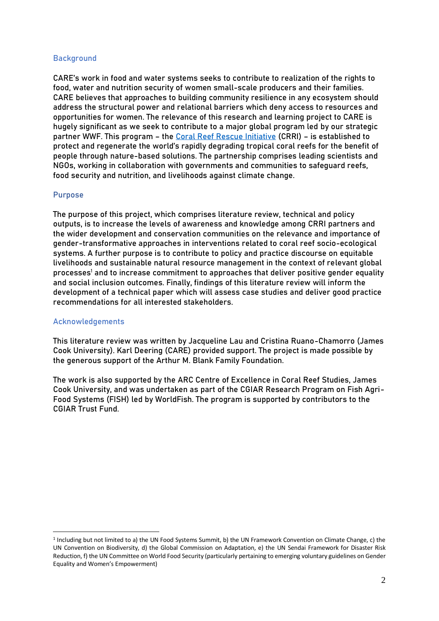# **Background**

CARE's work in food and water systems seeks to contribute to realization of the rights to food, water and nutrition security of women small-scale producers and their families. CARE believes that approaches to building community resilience in any ecosystem should address the structural power and relational barriers which deny access to resources and opportunities for women. The relevance of this research and learning project to CARE is hugely significant as we seek to contribute to a major global program led by our strategic partner WWF. This program – the [Coral Reef Rescue Initiative](https://www.coralreefrescueinitiative.org/) (CRRI) – is established to protect and regenerate the world's rapidly degrading tropical coral reefs for the benefit of people through nature-based solutions. The partnership comprises leading scientists and NGOs, working in collaboration with governments and communities to safeguard reefs, food security and nutrition, and livelihoods against climate change.

# **Purpose**

The purpose of this project, which comprises literature review, technical and policy outputs, is to increase the levels of awareness and knowledge among CRRI partners and the wider development and conservation communities on the relevance and importance of gender-transformative approaches in interventions related to coral reef socio-ecological systems. A further purpose is to contribute to policy and practice discourse on equitable livelihoods and sustainable natural resource management in the context of relevant global processes<sup>1</sup> and to increase commitment to approaches that deliver positive gender equality and social inclusion outcomes. Finally, findings of this literature review will inform the development of a technical paper which will assess case studies and deliver good practice recommendations for all interested stakeholders.

# **Acknowledgements**

This literature review was written by Jacqueline Lau and Cristina Ruano-Chamorro (James Cook University). Karl Deering (CARE) provided support. The project is made possible by the generous support of the Arthur M. Blank Family Foundation.

The work is also supported by the ARC Centre of Excellence in Coral Reef Studies, James Cook University, and was undertaken as part of the CGIAR Research Program on Fish Agri-Food Systems (FISH) led by WorldFish. The program is supported by contributors to the CGIAR Trust Fund.

<sup>1</sup> Including but not limited to a) the UN Food Systems Summit, b) the UN Framework Convention on Climate Change, c) the UN Convention on Biodiversity, d) the Global Commission on Adaptation, e) the UN Sendai Framework for Disaster Risk Reduction, f) the UN Committee on World Food Security (particularly pertaining to emerging voluntary guidelines on Gender Equality and Women's Empowerment)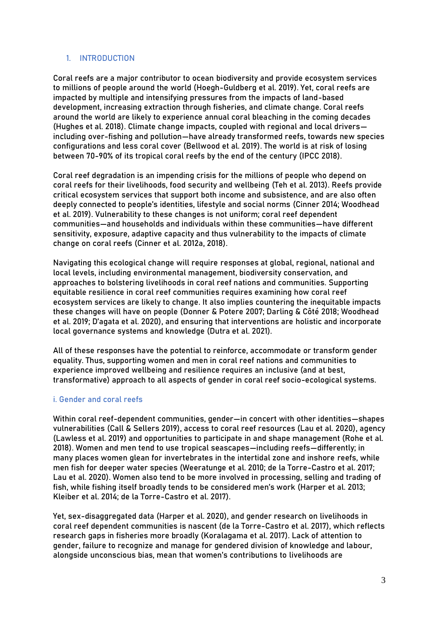# **1. INTRODUCTION**

Coral reefs are a major contributor to ocean biodiversity and provide ecosystem services to millions of people around the world (Hoegh-Guldberg et al. 2019). Yet, coral reefs are impacted by multiple and intensifying pressures from the impacts of land-based development, increasing extraction through fisheries, and climate change. Coral reefs around the world are likely to experience annual coral bleaching in the coming decades (Hughes et al. 2018). Climate change impacts, coupled with regional and local drivers including over-fishing and pollution—have already transformed reefs, towards new species configurations and less coral cover (Bellwood et al. 2019). The world is at risk of losing between 70-90% of its tropical coral reefs by the end of the century (IPCC 2018).

Coral reef degradation is an impending crisis for the millions of people who depend on coral reefs for their livelihoods, food security and wellbeing (Teh et al. 2013). Reefs provide critical ecosystem services that support both income and subsistence, and are also often deeply connected to people's identities, lifestyle and social norms (Cinner 2014; Woodhead et al. 2019). Vulnerability to these changes is not uniform; coral reef dependent communities—and households and individuals within these communities—have different sensitivity, exposure, adaptive capacity and thus vulnerability to the impacts of climate change on coral reefs (Cinner et al. 2012a, 2018).

Navigating this ecological change will require responses at global, regional, national and local levels, including environmental management, biodiversity conservation, and approaches to bolstering livelihoods in coral reef nations and communities. Supporting equitable resilience in coral reef communities requires examining how coral reef ecosystem services are likely to change. It also implies countering the inequitable impacts these changes will have on people (Donner & Potere 2007; Darling & Côté 2018; Woodhead et al. 2019; D'agata et al. 2020), and ensuring that interventions are holistic and incorporate local governance systems and knowledge (Dutra et al. 2021).

All of these responses have the potential to reinforce, accommodate or transform gender equality. Thus, supporting women and men in coral reef nations and communities to experience improved wellbeing and resilience requires an inclusive (and at best, transformative) approach to all aspects of gender in coral reef socio-ecological systems.

# **i. Gender and coral reefs**

Within coral reef-dependent communities, gender—in concert with other identities—shapes vulnerabilities (Call & Sellers 2019), access to coral reef resources (Lau et al. 2020), agency (Lawless et al. 2019) and opportunities to participate in and shape management (Rohe et al. 2018). Women and men tend to use tropical seascapes—including reefs—differently; in many places women glean for invertebrates in the intertidal zone and inshore reefs, while men fish for deeper water species (Weeratunge et al. 2010; de la Torre-Castro et al. 2017; Lau et al. 2020). Women also tend to be more involved in processing, selling and trading of fish, while fishing itself broadly tends to be considered men's work (Harper et al. 2013; Kleiber et al. 2014; de la Torre-Castro et al. 2017).

Yet, sex-disaggregated data (Harper et al. 2020), and gender research on livelihoods in coral reef dependent communities is nascent (de la Torre-Castro et al. 2017), which reflects research gaps in fisheries more broadly (Koralagama et al. 2017). Lack of attention to gender, failure to recognize and manage for gendered division of knowledge and labour, alongside unconscious bias, mean that women's contributions to livelihoods are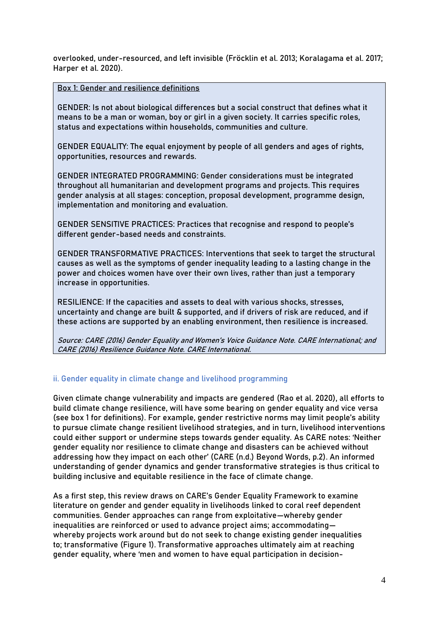overlooked, under-resourced, and left invisible (Fröcklin et al. 2013; Koralagama et al. 2017; Harper et al. 2020).

**Box 1: Gender and resilience definitions** 

**GENDER:** Is not about biological differences but a social construct that defines what it means to be a man or woman, boy or girl in a given society. It carries specific roles, status and expectations within households, communities and culture.

**GENDER EQUALITY:** The equal enjoyment by people of all genders and ages of rights, opportunities, resources and rewards.

**GENDER INTEGRATED PROGRAMMING:** Gender considerations must be integrated throughout all humanitarian and development programs and projects. This requires gender analysis at all stages: conception, proposal development, programme design, implementation and monitoring and evaluation.

**GENDER SENSITIVE PRACTICES:** Practices that recognise and respond to people's different gender-based needs and constraints.

**GENDER TRANSFORMATIVE PRACTICES:** Interventions that seek to target the structural causes as well as the symptoms of gender inequality leading to a lasting change in the power and choices women have over their own lives, rather than just a temporary increase in opportunities.

**RESILIENCE:** If the capacities and assets to deal with various shocks, stresses, uncertainty and change are built & supported, and if drivers of risk are reduced, and if these actions are supported by an enabling environment, then resilience is increased.

Source: CARE (2016) Gender Equality and Women's Voice Guidance Note. CARE International; and CARE (2016) Resilience Guidance Note. CARE International.

# **ii. Gender equality in climate change and livelihood programming**

Given climate change vulnerability and impacts are gendered (Rao et al. 2020), all efforts to build climate change resilience, will have some bearing on gender equality and vice versa (see box 1 for definitions). For example, gender restrictive norms may limit people's ability to pursue climate change resilient livelihood strategies, and in turn, livelihood interventions could either support or undermine steps towards gender equality. As CARE notes: 'Neither gender equality nor resilience to climate change and disasters can be achieved without addressing how they impact on each other' (CARE (n.d.) Beyond Words, p.2). An informed understanding of gender dynamics and gender transformative strategies is thus critical to building inclusive and equitable resilience in the face of climate change.

As a first step, this review draws on CARE's Gender Equality Framework to examine literature on gender and gender equality in livelihoods linked to coral reef dependent communities. Gender approaches can range from exploitative—whereby gender inequalities are reinforced or used to advance project aims; accommodating whereby projects work around but do not seek to change existing gender inequalities to; transformative (Figure 1). Transformative approaches ultimately aim at reaching gender equality, where 'men and women to have equal participation in decision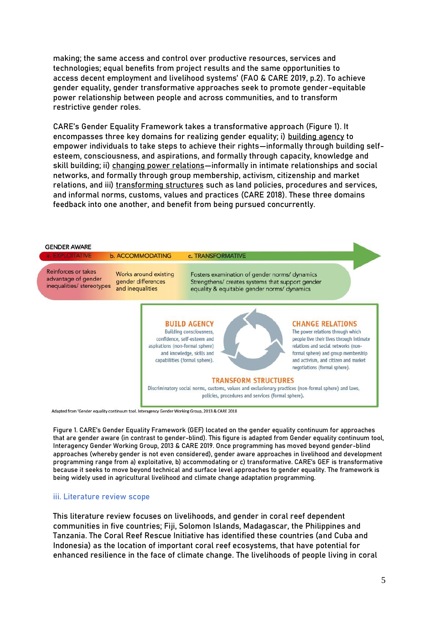making; the same access and control over productive resources, services and technologies; equal benefits from project results and the same opportunities to access decent employment and livelihood systems' (FAO & CARE 2019, p.2). To achieve gender equality, gender transformative approaches seek to promote gender-equitable power relationship between people and across communities, and to transform restrictive gender roles.

CARE's Gender Equality Framework takes a transformative approach (Figure 1). It encompasses three key domains for realizing gender equality; i) **building agency** to empower individuals to take steps to achieve their rights—informally through building selfesteem, consciousness, and aspirations, and formally through capacity, knowledge and skill building; ii) **changing power relations**—informally in intimate relationships and social networks, and formally through group membership, activism, citizenship and market relations, and iii) **transforming structures** such as land policies, procedures and services, and informal norms, customs, values and practices (CARE 2018). These three domains feedback into one another, and benefit from being pursued concurrently.



Adapted from 'Gender equality continuum tool. Interagency Gender Working Group, 2013 & CARE 2018

Figure 1. CARE's Gender Equality Framework (GEF) located on the gender equality continuum for approaches that are gender aware (in contrast to gender-blind). This figure is adapted from Gender equality continuum tool, Interagency Gender Working Group, 2013 & CARE 2019. Once programming has moved beyond gender-blind approaches (whereby gender is not even considered), gender aware approaches in livelihood and development programming range from a) exploitative, b) accommodating or c) transformative. CARE's GEF is transformative because it seeks to move beyond technical and surface level approaches to gender equality. The framework is being widely used in agricultural livelihood and climate change adaptation programming.

#### iii. **Literature review scope**

This literature review focuses on livelihoods, and gender in coral reef dependent communities in five countries; Fiji, Solomon Islands, Madagascar, the Philippines and Tanzania. The Coral Reef Rescue Initiative has identified these countries (and Cuba and Indonesia) as the location of important coral reef ecosystems, that have potential for enhanced resilience in the face of climate change. The livelihoods of people living in coral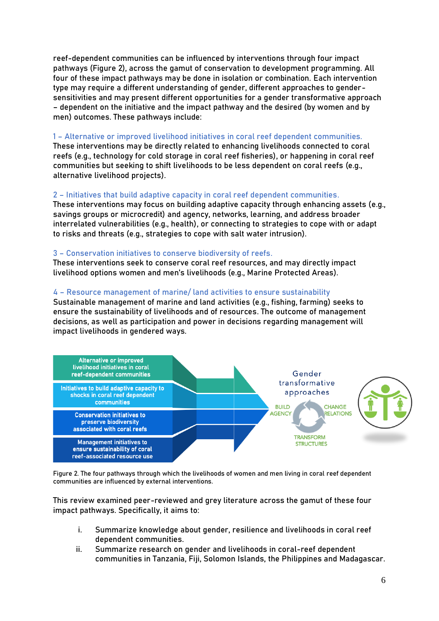reef-dependent communities can be influenced by interventions through four impact pathways (Figure 2), across the gamut of conservation to development programming. All four of these impact pathways may be done in isolation or combination. Each intervention type may require a different understanding of gender, different approaches to gendersensitivities and may present different opportunities for a gender transformative approach – dependent on the initiative and the impact pathway and the desired (by women and by men) outcomes. These pathways include:

# **1 – Alternative or improved livelihood initiatives in coral reef dependent communities.**

These interventions may be directly related to enhancing livelihoods connected to coral reefs (e.g., technology for cold storage in coral reef fisheries), or happening in coral reef communities but seeking to shift livelihoods to be less dependent on coral reefs (e.g., alternative livelihood projects).

# **2 – Initiatives that build adaptive capacity in coral reef dependent communities.**

These interventions may focus on building adaptive capacity through enhancing assets (e.g., savings groups or microcredit) and agency, networks, learning, and address broader interrelated vulnerabilities (e.g., health), or connecting to strategies to cope with or adapt to risks and threats (e.g., strategies to cope with salt water intrusion).

# **3 – Conservation initiatives to conserve biodiversity of reefs.**

These interventions seek to conserve coral reef resources, and may directly impact livelihood options women and men's livelihoods (e.g., Marine Protected Areas).

# **4 – Resource management of marine/ land activities to ensure sustainability**

Sustainable management of marine and land activities (e.g., fishing, farming) seeks to ensure the sustainability of livelihoods and of resources. The outcome of management decisions, as well as participation and power in decisions regarding management will impact livelihoods in gendered ways.



Figure 2. The four pathways through which the livelihoods of women and men living in coral reef dependent communities are influenced by external interventions.

This review examined peer-reviewed and grey literature across the gamut of these four impact pathways. Specifically, it aims to:

- i. Summarize knowledge about gender, resilience and livelihoods in coral reef dependent communities.
- ii. Summarize research on gender and livelihoods in coral-reef dependent communities in Tanzania, Fiji, Solomon Islands, the Philippines and Madagascar.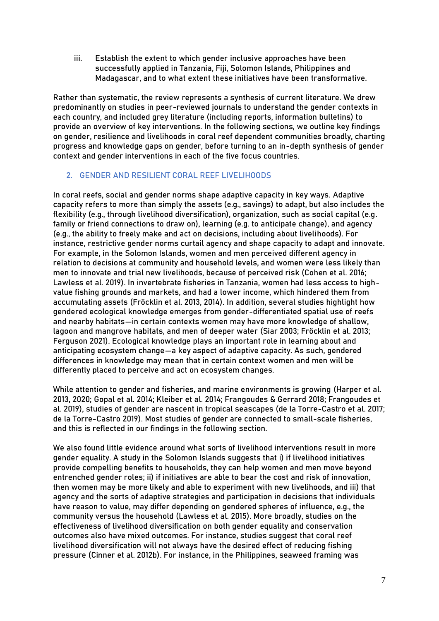iii. Establish the extent to which gender inclusive approaches have been successfully applied in Tanzania, Fiji, Solomon Islands, Philippines and Madagascar, and to what extent these initiatives have been transformative.

Rather than systematic, the review represents a synthesis of current literature. We drew predominantly on studies in peer-reviewed journals to understand the gender contexts in each country, and included grey literature (including reports, information bulletins) to provide an overview of key interventions. In the following sections, we outline key findings on gender, resilience and livelihoods in coral reef dependent communities broadly, charting progress and knowledge gaps on gender, before turning to an in-depth synthesis of gender context and gender interventions in each of the five focus countries.

# **2. GENDER AND RESILIENT CORAL REEF LIVELIHOODS**

In coral reefs, social and gender norms shape adaptive capacity in key ways. Adaptive capacity refers to more than simply the assets (e.g., savings) to adapt, but also includes the flexibility (e.g., through livelihood diversification), organization, such as social capital (e.g. family or friend connections to draw on), learning (e.g. to anticipate change), and agency (e.g., the ability to freely make and act on decisions, including about livelihoods). For instance, restrictive gender norms curtail agency and shape capacity to adapt and innovate. For example, in the Solomon Islands, women and men perceived different agency in relation to decisions at community and household levels, and women were less likely than men to innovate and trial new livelihoods, because of perceived risk (Cohen et al. 2016; Lawless et al. 2019). In invertebrate fisheries in Tanzania, women had less access to highvalue fishing grounds and markets, and had a lower income, which hindered them from accumulating assets (Fröcklin et al. 2013, 2014). In addition, several studies highlight how gendered ecological knowledge emerges from gender-differentiated spatial use of reefs and nearby habitats—in certain contexts women may have more knowledge of shallow, lagoon and mangrove habitats, and men of deeper water (Siar 2003; Fröcklin et al. 2013; Ferguson 2021). Ecological knowledge plays an important role in learning about and anticipating ecosystem change—a key aspect of adaptive capacity. As such, gendered differences in knowledge may mean that in certain context women and men will be differently placed to perceive and act on ecosystem changes.

While attention to gender and fisheries, and marine environments is growing (Harper et al. 2013, 2020; Gopal et al. 2014; Kleiber et al. 2014; Frangoudes & Gerrard 2018; Frangoudes et al. 2019), studies of gender are nascent in tropical seascapes (de la Torre-Castro et al. 2017; de la Torre-Castro 2019). Most studies of gender are connected to small-scale fisheries, and this is reflected in our findings in the following section.

We also found little evidence around what sorts of livelihood interventions result in more gender equality. A study in the Solomon Islands suggests that i) if livelihood initiatives provide compelling benefits to households, they can help women and men move beyond entrenched gender roles; ii) if initiatives are able to bear the cost and risk of innovation, then women may be more likely and able to experiment with new livelihoods, and iii) that agency and the sorts of adaptive strategies and participation in decisions that individuals have reason to value, may differ depending on gendered spheres of influence, e.g., the community versus the household (Lawless et al. 2015). More broadly, studies on the effectiveness of livelihood diversification on both gender equality and conservation outcomes also have mixed outcomes. For instance, studies suggest that coral reef livelihood diversification will not always have the desired effect of reducing fishing pressure (Cinner et al. 2012b). For instance, in the Philippines, seaweed framing was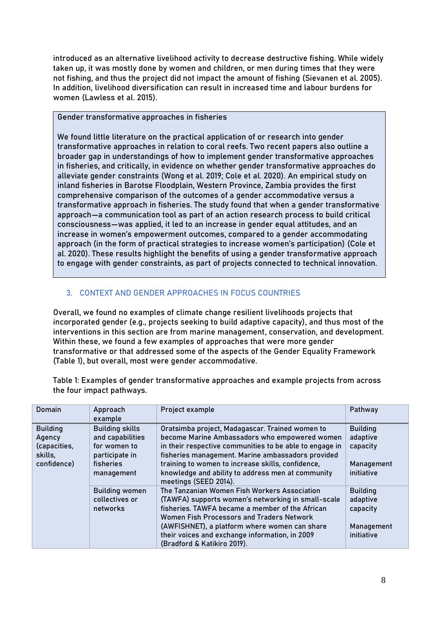introduced as an alternative livelihood activity to decrease destructive fishing. While widely taken up, it was mostly done by women and children, or men during times that they were not fishing, and thus the project did not impact the amount of fishing (Sievanen et al. 2005). In addition, livelihood diversification can result in increased time and labour burdens for women (Lawless et al. 2015).

**Gender transformative approaches in fisheries** 

We found little literature on the practical application of or research into gender transformative approaches in relation to coral reefs. Two recent papers also outline a broader gap in understandings of how to implement gender transformative approaches in fisheries, and critically, in evidence on whether gender transformative approaches do alleviate gender constraints (Wong et al. 2019; Cole et al. 2020). An empirical study on inland fisheries in Barotse Floodplain, Western Province, Zambia provides the first comprehensive comparison of the outcomes of a gender accommodative versus a transformative approach in fisheries. The study found that when a gender transformative approach—a communication tool as part of an action research process to build critical consciousness—was applied, it led to an increase in gender equal attitudes, and an increase in women's empowerment outcomes, compared to a gender accommodating approach (in the form of practical strategies to increase women's participation) (Cole et al. 2020). These results highlight the benefits of using a gender transformative approach to engage with gender constraints, as part of projects connected to technical innovation.

# **3. CONTEXT AND GENDER APPROACHES IN FOCUS COUNTRIES**

Overall, we found no examples of climate change resilient livelihoods projects that incorporated gender (e.g., projects seeking to build adaptive capacity), and thus most of the interventions in this section are from marine management, conservation, and development. Within these, we found a few examples of approaches that were more gender transformative or that addressed some of the aspects of the Gender Equality Framework (Table 1), but overall, most were gender accommodative.

Table 1: Examples of gender transformative approaches and example projects from across the four impact pathways.

| <b>Domain</b>                                                       | Approach<br>example                                                                                     | Project example                                                                                                                                                                                                                                                                                                                                     | Pathway                                                             |
|---------------------------------------------------------------------|---------------------------------------------------------------------------------------------------------|-----------------------------------------------------------------------------------------------------------------------------------------------------------------------------------------------------------------------------------------------------------------------------------------------------------------------------------------------------|---------------------------------------------------------------------|
| <b>Building</b><br>Agency<br>(capacities,<br>skills,<br>confidence) | <b>Building skills</b><br>and capabilities<br>for women to<br>participate in<br>fisheries<br>management | Oratsimba project, Madagascar. Trained women to<br>become Marine Ambassadors who empowered women<br>in their respective communities to be able to engage in<br>fisheries management. Marine ambassadors provided<br>training to women to increase skills, confidence,<br>knowledge and ability to address men at community<br>meetings (SEED 2014). | <b>Building</b><br>adaptive<br>capacity<br>Management<br>initiative |
|                                                                     | <b>Building women</b><br>collectives or<br>networks                                                     | The Tanzanian Women Fish Workers Association<br>(TAWFA) supports women's networking in small-scale<br>fisheries. TAWFA became a member of the African<br>Women Fish Processors and Traders Network<br>(AWFISHNET), a platform where women can share<br>their voices and exchange information, in 2009<br>(Bradford & Katikiro 2019).                | <b>Building</b><br>adaptive<br>capacity<br>Management<br>initiative |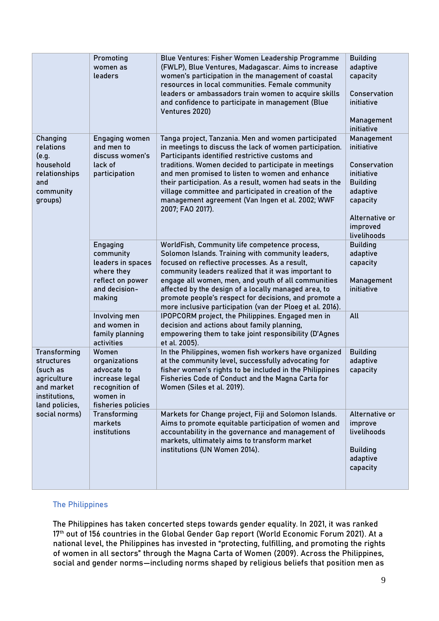|                                                                                                               | Promoting<br>women as<br>leaders                                                                                                                            | Blue Ventures: Fisher Women Leadership Programme<br>(FWLP), Blue Ventures, Madagascar. Aims to increase<br>women's participation in the management of coastal<br>resources in local communities. Female community<br>leaders or ambassadors train women to acquire skills<br>and confidence to participate in management (Blue<br>Ventures 2020)                                                                                                                                                                                                                                                             | <b>Building</b><br>adaptive<br>capacity<br>Conservation<br>initiative<br>Management<br>initiative                                              |
|---------------------------------------------------------------------------------------------------------------|-------------------------------------------------------------------------------------------------------------------------------------------------------------|--------------------------------------------------------------------------------------------------------------------------------------------------------------------------------------------------------------------------------------------------------------------------------------------------------------------------------------------------------------------------------------------------------------------------------------------------------------------------------------------------------------------------------------------------------------------------------------------------------------|------------------------------------------------------------------------------------------------------------------------------------------------|
| Changing<br>relations<br>(e.g.<br>household<br>relationships<br>and<br>community<br>groups)                   | <b>Engaging women</b><br>and men to<br>discuss women's<br>lack of<br>participation                                                                          | Tanga project, Tanzania. Men and women participated<br>in meetings to discuss the lack of women participation.<br>Participants identified restrictive customs and<br>traditions. Women decided to participate in meetings<br>and men promised to listen to women and enhance<br>their participation. As a result, women had seats in the<br>village committee and participated in creation of the<br>management agreement (Van Ingen et al. 2002; WWF<br>2007; FAO 2017).                                                                                                                                    | Management<br>initiative<br>Conservation<br>initiative<br><b>Building</b><br>adaptive<br>capacity<br>Alternative or<br>improved<br>livelihoods |
|                                                                                                               | Engaging<br>community<br>leaders in spaces<br>where they<br>reflect on power<br>and decision-<br>making<br>Involving men<br>and women in<br>family planning | WorldFish, Community life competence process,<br>Solomon Islands. Training with community leaders,<br>focused on reflective processes. As a result,<br>community leaders realized that it was important to<br>engage all women, men, and youth of all communities<br>affected by the design of a locally managed area, to<br>promote people's respect for decisions, and promote a<br>more inclusive participation (van der Ploeg et al. 2016).<br>IPOPCORM project, the Philippines. Engaged men in<br>decision and actions about family planning,<br>empowering them to take joint responsibility (D'Agnes | <b>Building</b><br>adaptive<br>capacity<br>Management<br>initiative<br>All                                                                     |
| <b>Transforming</b><br>structures<br>(such as<br>agriculture<br>and market<br>institutions,<br>land policies, | activities<br>Women<br>organizations<br>advocate to<br>increase legal<br>recognition of<br>women in<br>fisheries policies                                   | et al. 2005).<br>In the Philippines, women fish workers have organized<br>at the community level, successfully advocating for<br>fisher women's rights to be included in the Philippines<br>Fisheries Code of Conduct and the Magna Carta for<br>Women (Siles et al. 2019).                                                                                                                                                                                                                                                                                                                                  | <b>Building</b><br>adaptive<br>capacity                                                                                                        |
| social norms)                                                                                                 | <b>Transforming</b><br>markets<br>institutions                                                                                                              | Markets for Change project, Fiji and Solomon Islands.<br>Aims to promote equitable participation of women and<br>accountability in the governance and management of<br>markets, ultimately aims to transform market<br>institutions (UN Women 2014).                                                                                                                                                                                                                                                                                                                                                         | Alternative or<br>improve<br>livelihoods<br><b>Building</b><br>adaptive<br>capacity                                                            |

# **The Philippines**

The Philippines has taken concerted steps towards gender equality. In 2021, it was ranked 17<sup>th</sup> out of 156 countries in the Global Gender Gap report (World Economic Forum 2021). At a national level, the Philippines has invested in "protecting, fulfilling, and promoting the rights of women in all sectors" through the Magna Carta of Women (2009). Across the Philippines, social and gender norms—including norms shaped by religious beliefs that position men as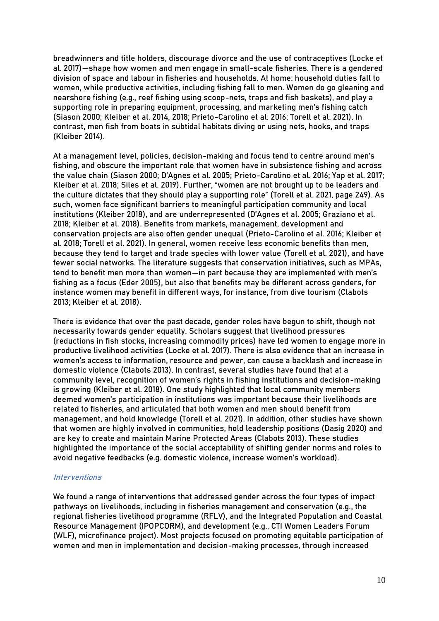breadwinners and title holders, discourage divorce and the use of contraceptives (Locke et al. 2017)—shape how women and men engage in small-scale fisheries. There is a gendered division of space and labour in fisheries and households. At home: household duties fall to women, while productive activities, including fishing fall to men. Women do go gleaning and nearshore fishing (e.g., reef fishing using scoop-nets, traps and fish baskets), and play a supporting role in preparing equipment, processing, and marketing men's fishing catch (Siason 2000; Kleiber et al. 2014, 2018; Prieto-Carolino et al. 2016; Torell et al. 2021). In contrast, men fish from boats in subtidal habitats diving or using nets, hooks, and traps (Kleiber 2014).

At a management level, policies, decision-making and focus tend to centre around men's fishing, and obscure the important role that women have in subsistence fishing and across the value chain (Siason 2000; D'Agnes et al. 2005; Prieto-Carolino et al. 2016; Yap et al. 2017; Kleiber et al. 2018; Siles et al. 2019). Further, "women are not brought up to be leaders and the culture dictates that they should play a supporting role" (Torell et al. 2021, page 249). As such, women face significant barriers to meaningful participation community and local institutions (Kleiber 2018), and are underrepresented (D'Agnes et al. 2005; Graziano et al. 2018; Kleiber et al. 2018). Benefits from markets, management, development and conservation projects are also often gender unequal (Prieto-Carolino et al. 2016; Kleiber et al. 2018; Torell et al. 2021). In general, women receive less economic benefits than men, because they tend to target and trade species with lower value (Torell et al. 2021), and have fewer social networks. The literature suggests that conservation initiatives, such as MPAs, tend to benefit men more than women—in part because they are implemented with men's fishing as a focus (Eder 2005), but also that benefits may be different across genders, for instance women may benefit in different ways, for instance, from dive tourism (Clabots 2013; Kleiber et al. 2018).

There is evidence that over the past decade, gender roles have begun to shift, though not necessarily towards gender equality. Scholars suggest that livelihood pressures (reductions in fish stocks, increasing commodity prices) have led women to engage more in productive livelihood activities (Locke et al. 2017). There is also evidence that an increase in women's access to information, resource and power, can cause a backlash and increase in domestic violence (Clabots 2013). In contrast, several studies have found that at a community level, recognition of women's rights in fishing institutions and decision-making is growing (Kleiber et al. 2018). One study highlighted that local community members deemed women's participation in institutions was important because their livelihoods are related to fisheries, and articulated that both women and men should benefit from management, and hold knowledge (Torell et al. 2021). In addition, other studies have shown that women are highly involved in communities, hold leadership positions (Dasig 2020) and are key to create and maintain Marine Protected Areas (Clabots 2013). These studies highlighted the importance of the social acceptability of shifting gender norms and roles to avoid negative feedbacks (e.g. domestic violence, increase women's workload).

#### **Interventions**

We found a range of interventions that addressed gender across the four types of impact pathways on livelihoods, including in fisheries management and conservation (e.g., the regional fisheries livelihood programme (RFLV), and the Integrated Population and Coastal Resource Management (IPOPCORM), and development (e.g., CTI Women Leaders Forum (WLF), microfinance project). Most projects focused on promoting equitable participation of women and men in implementation and decision-making processes, through increased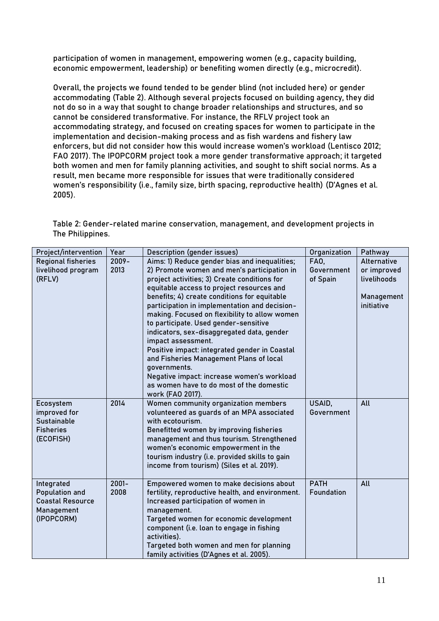participation of women in management, empowering women (e.g., capacity building, economic empowerment, leadership) or benefiting women directly (e.g., microcredit).

Overall, the projects we found tended to be gender blind (not included here) or gender accommodating (Table 2). Although several projects focused on building agency, they did not do so in a way that sought to change broader relationships and structures, and so cannot be considered transformative. For instance, the RFLV project took an accommodating strategy, and focused on creating spaces for women to participate in the implementation and decision-making process and as fish wardens and fishery law enforcers, but did not consider how this would increase women's workload (Lentisco 2012; FAO 2017). The IPOPCORM project took a more gender transformative approach; it targeted both women and men for family planning activities, and sought to shift social norms. As a result, men became more responsible for issues that were traditionally considered women's responsibility (i.e., family size, birth spacing, reproductive health) (D'Agnes et al. 2005).

Table 2: Gender-related marine conservation, management, and development projects in The Philippines.

| Project/intervention                                                                       | Year             | Description (gender issues)                                                                                                                                                                                                                                                                                                                                                                                                                                                                                                                                                                                                                                                        | Organization                          | Pathway                                                               |
|--------------------------------------------------------------------------------------------|------------------|------------------------------------------------------------------------------------------------------------------------------------------------------------------------------------------------------------------------------------------------------------------------------------------------------------------------------------------------------------------------------------------------------------------------------------------------------------------------------------------------------------------------------------------------------------------------------------------------------------------------------------------------------------------------------------|---------------------------------------|-----------------------------------------------------------------------|
| <b>Regional fisheries</b><br>livelihood program<br>(RFLV)                                  | $2009 -$<br>2013 | Aims: 1) Reduce gender bias and inequalities;<br>2) Promote women and men's participation in<br>project activities; 3) Create conditions for<br>equitable access to project resources and<br>benefits; 4) create conditions for equitable<br>participation in implementation and decision-<br>making. Focused on flexibility to allow women<br>to participate. Used gender-sensitive<br>indicators, sex-disaggregated data, gender<br>impact assessment.<br>Positive impact: integrated gender in Coastal<br>and Fisheries Management Plans of local<br>governments.<br>Negative impact: increase women's workload<br>as women have to do most of the domestic<br>work (FAO 2017). | <b>FA0.</b><br>Government<br>of Spain | Alternative<br>or improved<br>livelihoods<br>Management<br>initiative |
| Ecosystem<br>improved for<br><b>Sustainable</b><br><b>Fisheries</b><br>(ECOFISH)           | 2014             | Women community organization members<br>volunteered as guards of an MPA associated<br>with ecotourism.<br>Benefitted women by improving fisheries<br>management and thus tourism. Strengthened<br>women's economic empowerment in the<br>tourism industry (i.e. provided skills to gain<br>income from tourism) (Siles et al. 2019).                                                                                                                                                                                                                                                                                                                                               | USAID,<br>Government                  | All                                                                   |
| Integrated<br><b>Population and</b><br><b>Coastal Resource</b><br>Management<br>(IPOPCORM) | $2001 -$<br>2008 | Empowered women to make decisions about<br>fertility, reproductive health, and environment.<br>Increased participation of women in<br>management.<br>Targeted women for economic development<br>component (i.e. loan to engage in fishing<br>activities).<br>Targeted both women and men for planning<br>family activities (D'Agnes et al. 2005).                                                                                                                                                                                                                                                                                                                                  | <b>PATH</b><br>Foundation             | All                                                                   |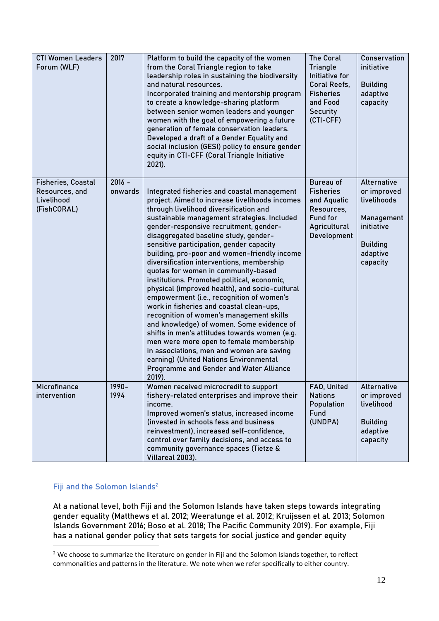| <b>CTI Women Leaders</b><br>Forum (WLF)                                  | 2017                | Platform to build the capacity of the women<br>from the Coral Triangle region to take<br>leadership roles in sustaining the biodiversity<br>and natural resources.<br>Incorporated training and mentorship program<br>to create a knowledge-sharing platform<br>between senior women leaders and younger<br>women with the goal of empowering a future<br>generation of female conservation leaders.<br>Developed a draft of a Gender Equality and<br>social inclusion (GESI) policy to ensure gender<br>equity in CTI-CFF (Coral Triangle Initiative<br>$2021$ ).                                                                                                                                                                                                                                                                                                                                                                                                                   | <b>The Coral</b><br>Triangle<br>Initiative for<br>Coral Reefs,<br><b>Fisheries</b><br>and Food<br>Security<br>(CTI-CFF) | Conservation<br>initiative<br><b>Building</b><br>adaptive<br>capacity                                            |
|--------------------------------------------------------------------------|---------------------|--------------------------------------------------------------------------------------------------------------------------------------------------------------------------------------------------------------------------------------------------------------------------------------------------------------------------------------------------------------------------------------------------------------------------------------------------------------------------------------------------------------------------------------------------------------------------------------------------------------------------------------------------------------------------------------------------------------------------------------------------------------------------------------------------------------------------------------------------------------------------------------------------------------------------------------------------------------------------------------|-------------------------------------------------------------------------------------------------------------------------|------------------------------------------------------------------------------------------------------------------|
| <b>Fisheries, Coastal</b><br>Resources, and<br>Livelihood<br>(FishCORAL) | $2016 -$<br>onwards | Integrated fisheries and coastal management<br>project. Aimed to increase livelihoods incomes<br>through livelihood diversification and<br>sustainable management strategies. Included<br>gender-responsive recruitment, gender-<br>disaggregated baseline study, gender-<br>sensitive participation, gender capacity<br>building, pro-poor and women-friendly income<br>diversification interventions, membership<br>quotas for women in community-based<br>institutions. Promoted political, economic,<br>physical (improved health), and socio-cultural<br>empowerment (i.e., recognition of women's<br>work in fisheries and coastal clean-ups,<br>recognition of women's management skills<br>and knowledge) of women. Some evidence of<br>shifts in men's attitudes towards women (e.g.<br>men were more open to female membership<br>in associations, men and women are saving<br>earning) (United Nations Environmental<br>Programme and Gender and Water Alliance<br>2019). | <b>Bureau of</b><br><b>Fisheries</b><br>and Aquatic<br>Resources.<br>Fund for<br>Agricultural<br>Development            | Alternative<br>or improved<br>livelihoods<br>Management<br>initiative<br><b>Building</b><br>adaptive<br>capacity |
| Microfinance<br>intervention                                             | $1990 -$<br>1994    | Women received microcredit to support<br>fishery-related enterprises and improve their<br>income.<br>Improved women's status, increased income<br>(invested in schools fess and business<br>reinvestment), increased self-confidence,<br>control over family decisions, and access to<br>community governance spaces (Tietze &<br>Villareal 2003).                                                                                                                                                                                                                                                                                                                                                                                                                                                                                                                                                                                                                                   | FAO, United<br><b>Nations</b><br>Population<br>Fund<br>(UNDPA)                                                          | Alternative<br>or improved<br>livelihood<br><b>Building</b><br>adaptive<br>capacity                              |

# **Fiji and the Solomon Islands**<sup>2</sup>

At a national level, both Fiji and the Solomon Islands have taken steps towards integrating gender equality (Matthews et al. 2012; Weeratunge et al. 2012; Kruijssen et al. 2013; Solomon Islands Government 2016; Boso et al. 2018; The Pacific Community 2019). For example, Fiji has a national gender policy that sets targets for social justice and gender equity

<sup>&</sup>lt;sup>2</sup> We choose to summarize the literature on gender in Fiji and the Solomon Islands together, to reflect commonalities and patterns in the literature. We note when we refer specifically to either country.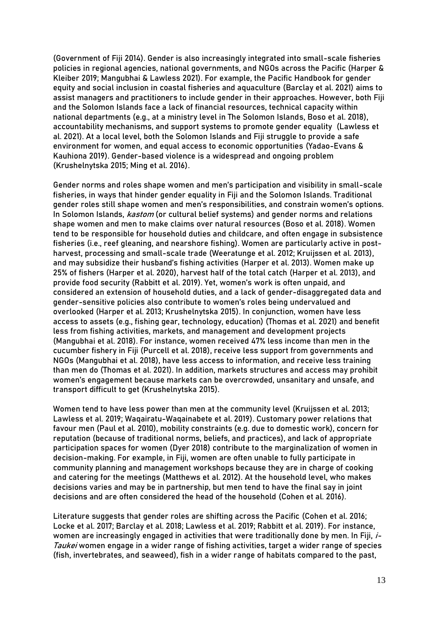(Government of Fiji 2014). Gender is also increasingly integrated into small-scale fisheries policies in regional agencies, national governments, and NGOs across the Pacific (Harper & Kleiber 2019; Mangubhai & Lawless 2021). For example, the Pacific Handbook for gender equity and social inclusion in coastal fisheries and aquaculture (Barclay et al. 2021) aims to assist managers and practitioners to include gender in their approaches. However, both Fiji and the Solomon Islands face a lack of financial resources, technical capacity within national departments (e.g., at a ministry level in The Solomon Islands, Boso et al. 2018), accountability mechanisms, and support systems to promote gender equality (Lawless et al. 2021). At a local level, both the Solomon Islands and Fiji struggle to provide a safe environment for women, and equal access to economic opportunities (Yadao-Evans & Kauhiona 2019). Gender-based violence is a widespread and ongoing problem (Krushelnytska 2015; Ming et al. 2016).

Gender norms and roles shape women and men's participation and visibility in small-scale fisheries, in ways that hinder gender equality in Fiji and the Solomon Islands. Traditional gender roles still shape women and men's responsibilities, and constrain women's options. In Solomon Islands, *kastom* (or cultural belief systems) and gender norms and relations shape women and men to make claims over natural resources (Boso et al. 2018). Women tend to be responsible for household duties and childcare, and often engage in subsistence fisheries (i.e., reef gleaning, and nearshore fishing). Women are particularly active in postharvest, processing and small-scale trade (Weeratunge et al. 2012; Kruijssen et al. 2013), and may subsidize their husband's fishing activities (Harper et al. 2013). Women make up 25% of fishers (Harper et al. 2020), harvest half of the total catch (Harper et al. 2013), and provide food security (Rabbitt et al. 2019). Yet, women's work is often unpaid, and considered an extension of household duties, and a lack of gender-disaggregated data and gender-sensitive policies also contribute to women's roles being undervalued and overlooked (Harper et al. 2013; Krushelnytska 2015). In conjunction, women have less access to assets (e.g., fishing gear, technology, education) (Thomas et al. 2021) and benefit less from fishing activities, markets, and management and development projects (Mangubhai et al. 2018). For instance, women received 47% less income than men in the cucumber fishery in Fiji (Purcell et al. 2018), receive less support from governments and NGOs (Mangubhai et al. 2018), have less access to information, and receive less training than men do (Thomas et al. 2021). In addition, markets structures and access may prohibit women's engagement because markets can be overcrowded, unsanitary and unsafe, and transport difficult to get (Krushelnytska 2015).

Women tend to have less power than men at the community level (Kruijssen et al. 2013; Lawless et al. 2019; Waqairatu-Waqainabete et al. 2019). Customary power relations that favour men (Paul et al. 2010), mobility constraints (e.g. due to domestic work), concern for reputation (because of traditional norms, beliefs, and practices), and lack of appropriate participation spaces for women (Dyer 2018) contribute to the marginalization of women in decision-making. For example, in Fiji, women are often unable to fully participate in community planning and management workshops because they are in charge of cooking and catering for the meetings (Matthews et al. 2012). At the household level, who makes decisions varies and may be in partnership, but men tend to have the final say in joint decisions and are often considered the head of the household (Cohen et al. 2016).

Literature suggests that gender roles are shifting across the Pacific (Cohen et al. 2016; Locke et al. 2017; Barclay et al. 2018; Lawless et al. 2019; Rabbitt et al. 2019). For instance, women are increasingly engaged in activities that were traditionally done by men. In Fiji, i-Taukei women engage in a wider range of fishing activities, target a wider range of species (fish, invertebrates, and seaweed), fish in a wider range of habitats compared to the past,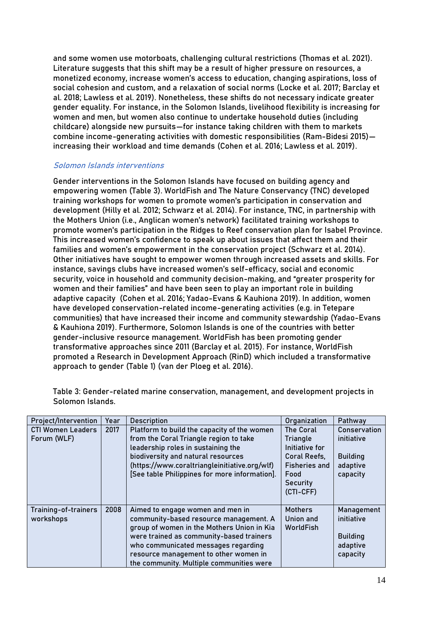and some women use motorboats, challenging cultural restrictions (Thomas et al. 2021). Literature suggests that this shift may be a result of higher pressure on resources, a monetized economy, increase women's access to education, changing aspirations, loss of social cohesion and custom, and a relaxation of social norms (Locke et al. 2017; Barclay et al. 2018; Lawless et al. 2019). Nonetheless, these shifts do not necessary indicate greater gender equality. For instance, in the Solomon Islands, livelihood flexibility is increasing for women and men, but women also continue to undertake household duties (including childcare) alongside new pursuits—for instance taking children with them to markets combine income-generating activities with domestic responsibilities (Ram-Bidesi 2015) increasing their workload and time demands (Cohen et al. 2016; Lawless et al. 2019).

# **Solomon Islands interventions**

Gender interventions in the Solomon Islands have focused on building agency and empowering women (Table 3). WorldFish and The Nature Conservancy (TNC) developed training workshops for women to promote women's participation in conservation and development (Hilly et al. 2012; Schwarz et al. 2014). For instance, TNC, in partnership with the Mothers Union (i.e., Anglican women's network) facilitated training workshops to promote women's participation in the Ridges to Reef conservation plan for Isabel Province. This increased women's confidence to speak up about issues that affect them and their families and women's empowerment in the conservation project (Schwarz et al. 2014). Other initiatives have sought to empower women through increased assets and skills. For instance, savings clubs have increased women's self-efficacy, social and economic security, voice in household and community decision-making, and "greater prosperity for women and their families" and have been seen to play an important role in building adaptive capacity (Cohen et al. 2016; Yadao-Evans & Kauhiona 2019). In addition, women have developed conservation-related income-generating activities (e.g. in Tetepare communities) that have increased their income and community stewardship (Yadao-Evans & Kauhiona 2019). Furthermore, Solomon Islands is one of the countries with better gender-inclusive resource management. WorldFish has been promoting gender transformative approaches since 2011 (Barclay et al. 2015). For instance, WorldFish promoted a Research in Development Approach (RinD) which included a transformative approach to gender (Table 1) (van der Ploeg et al. 2016).

| Project/Intervention                    | Year | <b>Description</b>                                                                                                                                                                                                                                                                               | Organization                                                                                                            | Pathway                                                               |
|-----------------------------------------|------|--------------------------------------------------------------------------------------------------------------------------------------------------------------------------------------------------------------------------------------------------------------------------------------------------|-------------------------------------------------------------------------------------------------------------------------|-----------------------------------------------------------------------|
| <b>CTI Women Leaders</b><br>Forum (WLF) | 2017 | Platform to build the capacity of the women<br>from the Coral Triangle region to take<br>leadership roles in sustaining the<br>biodiversity and natural resources<br>(https://www.coraltriangleinitiative.org/wlf)<br>[See table Philippines for more information].                              | <b>The Coral</b><br>Triangle<br>Initiative for<br>Coral Reefs,<br><b>Fisheries and</b><br>Food<br>Security<br>(CTI-CFF) | Conservation<br>initiative<br><b>Building</b><br>adaptive<br>capacity |
| Training-of-trainers<br>workshops       | 2008 | Aimed to engage women and men in<br>community-based resource management. A<br>group of women in the Mothers Union in Kia<br>were trained as community-based trainers<br>who communicated messages regarding<br>resource management to other women in<br>the community. Multiple communities were | <b>Mothers</b><br>Union and<br>WorldFish                                                                                | Management<br>initiative<br><b>Building</b><br>adaptive<br>capacity   |

Table 3: Gender-related marine conservation, management, and development projects in Solomon Islands.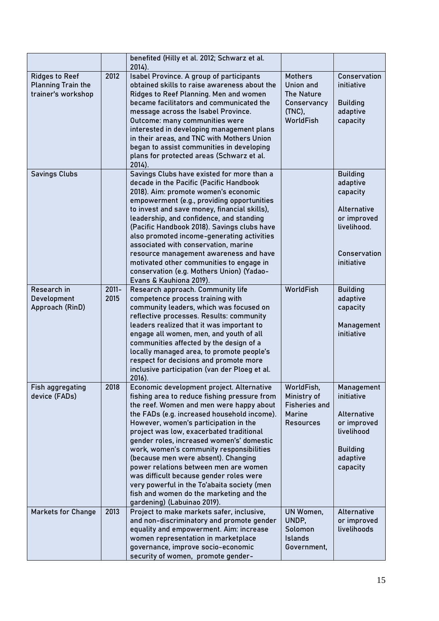|                                                                          |                  | benefited (Hilly et al. 2012; Schwarz et al.<br>$2014$ ).                                                                                                                                                                |                                                                |                                           |
|--------------------------------------------------------------------------|------------------|--------------------------------------------------------------------------------------------------------------------------------------------------------------------------------------------------------------------------|----------------------------------------------------------------|-------------------------------------------|
| <b>Ridges to Reef</b><br><b>Planning Train the</b><br>trainer's workshop | 2012             | Isabel Province. A group of participants<br>obtained skills to raise awareness about the<br>Ridges to Reef Planning. Men and women                                                                                       | <b>Mothers</b><br><b>Union and</b><br><b>The Nature</b>        | Conservation<br>initiative                |
|                                                                          |                  | became facilitators and communicated the<br>message across the Isabel Province.<br>Outcome: many communities were                                                                                                        | Conservancy<br>(TNC),<br>WorldFish                             | <b>Building</b><br>adaptive<br>capacity   |
|                                                                          |                  | interested in developing management plans<br>in their areas, and TNC with Mothers Union                                                                                                                                  |                                                                |                                           |
|                                                                          |                  | began to assist communities in developing<br>plans for protected areas (Schwarz et al.<br>2014).                                                                                                                         |                                                                |                                           |
| <b>Savings Clubs</b>                                                     |                  | Savings Clubs have existed for more than a<br>decade in the Pacific (Pacific Handbook<br>2018). Aim: promote women's economic                                                                                            |                                                                | <b>Building</b><br>adaptive<br>capacity   |
|                                                                          |                  | empowerment (e.g., providing opportunities<br>to invest and save money, financial skills),<br>leadership, and confidence, and standing                                                                                   |                                                                | Alternative<br>or improved                |
|                                                                          |                  | (Pacific Handbook 2018). Savings clubs have<br>also promoted income-generating activities<br>associated with conservation, marine                                                                                        |                                                                | livelihood.                               |
|                                                                          |                  | resource management awareness and have<br>motivated other communities to engage in<br>conservation (e.g. Mothers Union) (Yadao-<br>Evans & Kauhiona 2019).                                                               |                                                                | Conservation<br>initiative                |
| Research in<br>Development<br>Approach (RinD)                            | $2011 -$<br>2015 | Research approach. Community life<br>competence process training with<br>community leaders, which was focused on                                                                                                         | WorldFish                                                      | <b>Building</b><br>adaptive<br>capacity   |
|                                                                          |                  | reflective processes. Results: community<br>leaders realized that it was important to<br>engage all women, men, and youth of all<br>communities affected by the design of a<br>locally managed area, to promote people's |                                                                | Management<br>initiative                  |
|                                                                          |                  | respect for decisions and promote more<br>inclusive participation (van der Ploeg et al.<br>2016).                                                                                                                        |                                                                |                                           |
| Fish aggregating<br>device (FADs)                                        | 2018             | Economic development project. Alternative<br>fishing area to reduce fishing pressure from<br>the reef. Women and men were happy about                                                                                    | WorldFish,<br>Ministry of<br><b>Fisheries and</b>              | Management<br>initiative                  |
|                                                                          |                  | the FADs (e.g. increased household income).<br>However, women's participation in the<br>project was low, exacerbated traditional                                                                                         | Marine<br><b>Resources</b>                                     | Alternative<br>or improved<br>livelihood  |
|                                                                          |                  | gender roles, increased women's' domestic<br>work, women's community responsibilities<br>(because men were absent). Changing                                                                                             |                                                                | <b>Building</b><br>adaptive               |
|                                                                          |                  | power relations between men are women<br>was difficult because gender roles were<br>very powerful in the To'abaita society (men<br>fish and women do the marketing and the                                               |                                                                | capacity                                  |
|                                                                          |                  | gardening) (Labuinao 2019).                                                                                                                                                                                              |                                                                |                                           |
| <b>Markets for Change</b>                                                | 2013             | Project to make markets safer, inclusive,<br>and non-discriminatory and promote gender<br>equality and empowerment. Aim: increase<br>women representation in marketplace<br>governance, improve socio-economic           | UN Women,<br>UNDP,<br>Solomon<br><b>Islands</b><br>Government, | Alternative<br>or improved<br>livelihoods |
|                                                                          |                  | security of women, promote gender-                                                                                                                                                                                       |                                                                |                                           |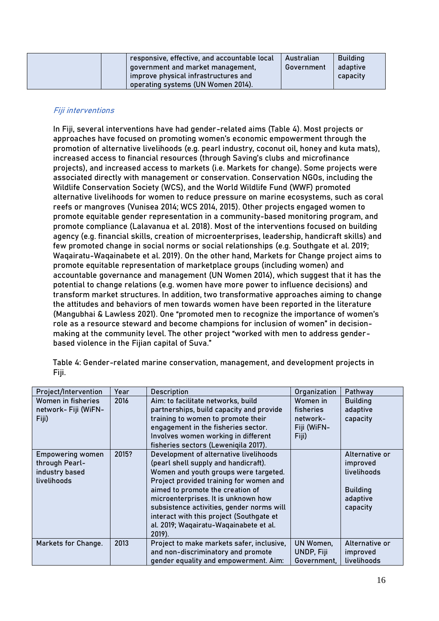| responsive, effective, and accountable local<br>government and market management,<br>improve physical infrastructures and | Australian<br>Government | <b>Building</b><br>adaptive<br>capacity |
|---------------------------------------------------------------------------------------------------------------------------|--------------------------|-----------------------------------------|
| operating systems (UN Women 2014).                                                                                        |                          |                                         |

# **Fiji interventions**

In Fiji, several interventions have had gender-related aims (Table 4). Most projects or approaches have focused on promoting women's economic empowerment through the promotion of alternative livelihoods (e.g. pearl industry, coconut oil, honey and kuta mats), increased access to financial resources (through Saving's clubs and microfinance projects), and increased access to markets (i.e. Markets for change). Some projects were associated directly with management or conservation. Conservation NGOs, including the Wildlife Conservation Society (WCS), and the World Wildlife Fund (WWF) promoted alternative livelihoods for women to reduce pressure on marine ecosystems, such as coral reefs or mangroves (Vunisea 2014; WCS 2014, 2015). Other projects engaged women to promote equitable gender representation in a community-based monitoring program, and promote compliance (Lalavanua et al. 2018). Most of the interventions focused on building agency (e.g. financial skills, creation of microenterprises, leadership, handicraft skills) and few promoted change in social norms or social relationships (e.g. Southgate et al. 2019; Waqairatu-Waqainabete et al. 2019). On the other hand, Markets for Change project aims to promote equitable representation of marketplace groups (including women) and accountable governance and management (UN Women 2014), which suggest that it has the potential to change relations (e.g. women have more power to influence decisions) and transform market structures. In addition, two transformative approaches aiming to change the attitudes and behaviors of men towards women have been reported in the literature (Mangubhai & Lawless 2021). One "promoted men to recognize the importance of women's role as a resource steward and become champions for inclusion of women" in decisionmaking at the community level. The other project "worked with men to address genderbased violence in the Fijian capital of Suva."

| Project/Intervention                                                       | Year  | <b>Description</b>                                                                                                                                                                                                                                                                                                                                                                         | Organization                                                     | Pathway                                                                              |
|----------------------------------------------------------------------------|-------|--------------------------------------------------------------------------------------------------------------------------------------------------------------------------------------------------------------------------------------------------------------------------------------------------------------------------------------------------------------------------------------------|------------------------------------------------------------------|--------------------------------------------------------------------------------------|
| Women in fisheries<br>network- Fiji (WiFN-<br>Fiji)                        | 2016  | Aim: to facilitate networks, build<br>partnerships, build capacity and provide<br>training to women to promote their<br>engagement in the fisheries sector.<br>Involves women working in different<br>fisheries sectors (Leweniqila 2017).                                                                                                                                                 | Women in<br><b>fisheries</b><br>network-<br>Fiji (WiFN-<br>Fiji) | <b>Building</b><br>adaptive<br>capacity                                              |
| <b>Empowering women</b><br>through Pearl-<br>industry based<br>livelihoods | 2015? | Development of alternative livelihoods<br>(pearl shell supply and handicraft).<br>Women and youth groups were targeted.<br>Project provided training for women and<br>aimed to promote the creation of<br>microenterprises. It is unknown how<br>subsistence activities, gender norms will<br>interact with this project (Southgate et<br>al. 2019; Wagairatu-Wagainabete et al.<br>2019). |                                                                  | Alternative or<br>improved<br>livelihoods<br><b>Building</b><br>adaptive<br>capacity |
| Markets for Change.                                                        | 2013  | Project to make markets safer, inclusive,<br>and non-discriminatory and promote<br>gender equality and empowerment. Aim:                                                                                                                                                                                                                                                                   | UN Women,<br>UNDP, Fiji<br>Government,                           | Alternative or<br>improved<br>livelihoods                                            |

Table 4: Gender-related marine conservation, management, and development projects in Fiji.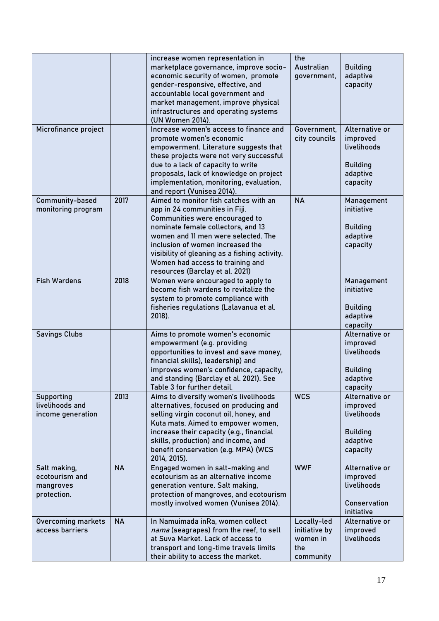|                                                            |           | increase women representation in<br>marketplace governance, improve socio-<br>economic security of women, promote<br>gender-responsive, effective, and<br>accountable local government and<br>market management, improve physical<br>infrastructures and operating systems<br>(UN Women 2014).                                                     | the<br>Australian<br>government,                             | <b>Building</b><br>adaptive<br>capacity                                              |
|------------------------------------------------------------|-----------|----------------------------------------------------------------------------------------------------------------------------------------------------------------------------------------------------------------------------------------------------------------------------------------------------------------------------------------------------|--------------------------------------------------------------|--------------------------------------------------------------------------------------|
| Microfinance project                                       |           | Increase women's access to finance and<br>promote women's economic<br>empowerment. Literature suggests that<br>these projects were not very successful<br>due to a lack of capacity to write<br>proposals, lack of knowledge on project<br>implementation, monitoring, evaluation,<br>and report (Vunisea 2014).                                   | Government,<br>city councils                                 | Alternative or<br>improved<br>livelihoods<br><b>Building</b><br>adaptive<br>capacity |
| Community-based<br>monitoring program                      | 2017      | Aimed to monitor fish catches with an<br>app in 24 communities in Fiji.<br>Communities were encouraged to<br>nominate female collectors, and 13<br>women and 11 men were selected. The<br>inclusion of women increased the<br>visibility of gleaning as a fishing activity.<br>Women had access to training and<br>resources (Barclay et al. 2021) | <b>NA</b>                                                    | Management<br>initiative<br><b>Building</b><br>adaptive<br>capacity                  |
| <b>Fish Wardens</b>                                        | 2018      | Women were encouraged to apply to<br>become fish wardens to revitalize the<br>system to promote compliance with<br>fisheries regulations (Lalavanua et al.<br>2018).                                                                                                                                                                               |                                                              | Management<br>initiative<br><b>Building</b><br>adaptive<br>capacity                  |
| <b>Savings Clubs</b>                                       |           | Aims to promote women's economic<br>empowerment (e.g. providing<br>opportunities to invest and save money,<br>financial skills), leadership) and<br>improves women's confidence, capacity,<br>and standing (Barclay et al. 2021). See<br>Table 3 for further detail.                                                                               |                                                              | Alternative or<br>improved<br>livelihoods<br><b>Building</b><br>adaptive<br>capacity |
| Supporting<br>livelihoods and<br>income generation         | 2013      | Aims to diversify women's livelihoods<br>alternatives, focused on producing and<br>selling virgin coconut oil, honey, and<br>Kuta mats. Aimed to empower women,<br>increase their capacity (e.g., financial<br>skills, production) and income, and<br>benefit conservation (e.g. MPA) (WCS<br>2014, 2015).                                         | <b>WCS</b>                                                   | Alternative or<br>improved<br>livelihoods<br><b>Building</b><br>adaptive<br>capacity |
| Salt making,<br>ecotourism and<br>mangroves<br>protection. | <b>NA</b> | Engaged women in salt-making and<br>ecotourism as an alternative income<br>generation venture. Salt making,<br>protection of mangroves, and ecotourism<br>mostly involved women (Vunisea 2014).                                                                                                                                                    | <b>WWF</b>                                                   | Alternative or<br>improved<br>livelihoods<br>Conservation<br>initiative              |
| <b>Overcoming markets</b><br>access barriers               | <b>NA</b> | In Namuimada inRa, women collect<br>nama (seagrapes) from the reef, to sell<br>at Suva Market. Lack of access to<br>transport and long-time travels limits<br>their ability to access the market.                                                                                                                                                  | Locally-led<br>initiative by<br>women in<br>the<br>community | Alternative or<br>improved<br>livelihoods                                            |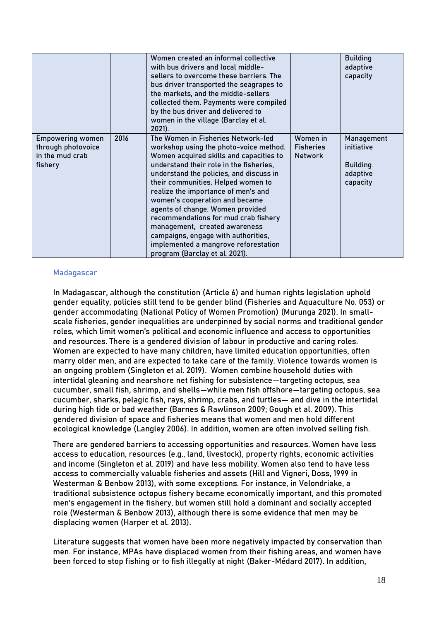|                                                                             |      | Women created an informal collective<br>with bus drivers and local middle-<br>sellers to overcome these barriers. The<br>bus driver transported the seagrapes to<br>the markets, and the middle-sellers<br>collected them. Payments were compiled<br>by the bus driver and delivered to<br>women in the village (Barclay et al.<br>$2021$ ).                                                                                                                                                                                                               |                                                | <b>Building</b><br>adaptive<br>capacity                             |
|-----------------------------------------------------------------------------|------|------------------------------------------------------------------------------------------------------------------------------------------------------------------------------------------------------------------------------------------------------------------------------------------------------------------------------------------------------------------------------------------------------------------------------------------------------------------------------------------------------------------------------------------------------------|------------------------------------------------|---------------------------------------------------------------------|
| <b>Empowering women</b><br>through photovoice<br>in the mud crab<br>fishery | 2016 | The Women in Fisheries Network-led<br>workshop using the photo-voice method.<br>Women acquired skills and capacities to<br>understand their role in the fisheries,<br>understand the policies, and discuss in<br>their communities. Helped women to<br>realize the importance of men's and<br>women's cooperation and became<br>agents of change. Women provided<br>recommendations for mud crab fishery<br>management, created awareness<br>campaigns, engage with authorities,<br>implemented a mangrove reforestation<br>program (Barclay et al. 2021). | Women in<br><b>Fisheries</b><br><b>Network</b> | Management<br>initiative<br><b>Building</b><br>adaptive<br>capacity |

### **Madagascar**

In Madagascar, although the constitution (Article 6) and human rights legislation uphold gender equality, policies still tend to be gender blind (Fisheries and Aquaculture No. 053) or gender accommodating (National Policy of Women Promotion) (Murunga 2021). In smallscale fisheries, gender inequalities are underpinned by social norms and traditional gender roles, which limit women's political and economic influence and access to opportunities and resources. There is a gendered division of labour in productive and caring roles. Women are expected to have many children, have limited education opportunities, often marry older men, and are expected to take care of the family. Violence towards women is an ongoing problem (Singleton et al. 2019). Women combine household duties with intertidal gleaning and nearshore net fishing for subsistence—targeting octopus, sea cucumber, small fish, shrimp, and shells—while men fish offshore—targeting octopus, sea cucumber, sharks, pelagic fish, rays, shrimp, crabs, and turtles— and dive in the intertidal during high tide or bad weather (Barnes & Rawlinson 2009; Gough et al. 2009). This gendered division of space and fisheries means that women and men hold different ecological knowledge (Langley 2006). In addition, women are often involved selling fish.

There are gendered barriers to accessing opportunities and resources. Women have less access to education, resources (e.g., land, livestock), property rights, economic activities and income (Singleton et al. 2019) and have less mobility. Women also tend to have less access to commercially valuable fisheries and assets (Hill and Vigneri, Doss, 1999 in Westerman & Benbow 2013), with some exceptions. For instance, in Velondriake, a traditional subsistence octopus fishery became economically important, and this promoted men's engagement in the fishery, but women still hold a dominant and socially accepted role (Westerman & Benbow 2013), although there is some evidence that men may be displacing women (Harper et al. 2013).

Literature suggests that women have been more negatively impacted by conservation than men. For instance, MPAs have displaced women from their fishing areas, and women have been forced to stop fishing or to fish illegally at night (Baker-Médard 2017). In addition,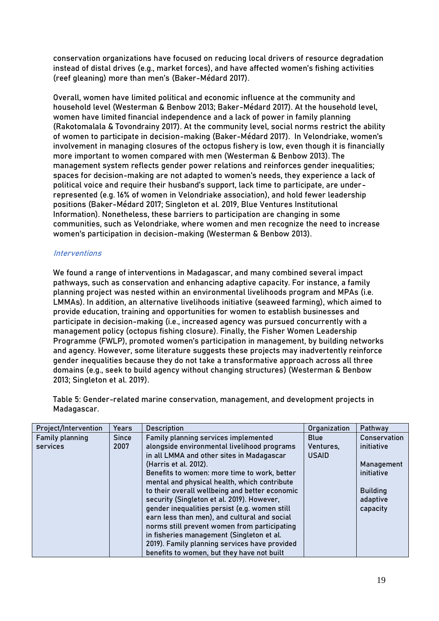conservation organizations have focused on reducing local drivers of resource degradation instead of distal drives (e.g., market forces), and have affected women's fishing activities (reef gleaning) more than men's (Baker-Médard 2017).

Overall, women have limited political and economic influence at the community and household level (Westerman & Benbow 2013; Baker-Médard 2017). At the household level, women have limited financial independence and a lack of power in family planning (Rakotomalala & Tovondrainy 2017). At the community level, social norms restrict the ability of women to participate in decision-making (Baker-Médard 2017). In Velondriake, women's involvement in managing closures of the octopus fishery is low, even though it is financially more important to women compared with men (Westerman & Benbow 2013). The management system reflects gender power relations and reinforces gender inequalities; spaces for decision-making are not adapted to women's needs, they experience a lack of political voice and require their husband's support, lack time to participate, are underrepresented (e.g. 16% of women in Velondriake association), and hold fewer leadership positions (Baker-Médard 2017; Singleton et al. 2019, Blue Ventures Institutional Information). Nonetheless, these barriers to participation are changing in some communities, such as Velondriake, where women and men recognize the need to increase women's participation in decision-making (Westerman & Benbow 2013).

# **Interventions**

We found a range of interventions in Madagascar, and many combined several impact pathways, such as conservation and enhancing adaptive capacity. For instance, a family planning project was nested within an environmental livelihoods program and MPAs (i.e. LMMAs). In addition, an alternative livelihoods initiative (seaweed farming), which aimed to provide education, training and opportunities for women to establish businesses and participate in decision-making (i.e., increased agency was pursued concurrently with a management policy (octopus fishing closure). Finally, the Fisher Women Leadership Programme (FWLP), promoted women's participation in management, by building networks and agency. However, some literature suggests these projects may inadvertently reinforce gender inequalities because they do not take a transformative approach across all three domains (e.g., seek to build agency without changing structures) (Westerman & Benbow 2013; Singleton et al. 2019).

Table 5: Gender-related marine conservation, management, and development projects in Madagascar.

| Project/Intervention | Years        | <b>Description</b>                             | Organization | Pathway         |
|----------------------|--------------|------------------------------------------------|--------------|-----------------|
| Family planning      | <b>Since</b> | Family planning services implemented           | <b>Blue</b>  | Conservation    |
| services             | 2007         | alongside environmental livelihood programs    | Ventures,    | initiative      |
|                      |              | in all LMMA and other sites in Madagascar      | <b>USAID</b> |                 |
|                      |              | (Harris et al. 2012).                          |              | Management      |
|                      |              | Benefits to women: more time to work, better   |              | initiative      |
|                      |              | mental and physical health, which contribute   |              |                 |
|                      |              | to their overall wellbeing and better economic |              | <b>Building</b> |
|                      |              | security (Singleton et al. 2019). However,     |              | adaptive        |
|                      |              | gender inequalities persist (e.g. women still  |              | capacity        |
|                      |              | earn less than men), and cultural and social   |              |                 |
|                      |              | norms still prevent women from participating   |              |                 |
|                      |              | in fisheries management (Singleton et al.      |              |                 |
|                      |              | 2019). Family planning services have provided  |              |                 |
|                      |              | benefits to women, but they have not built     |              |                 |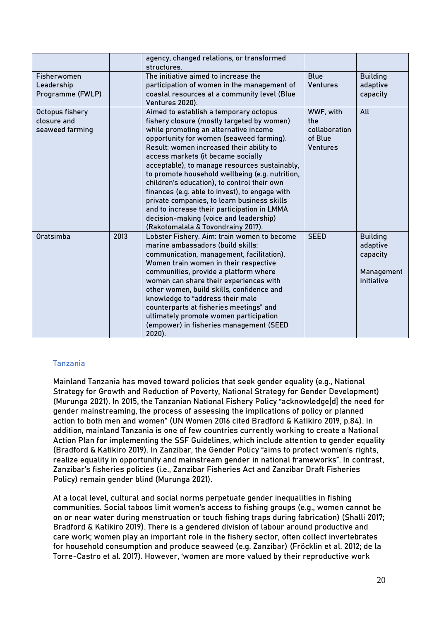|                                                   |      | agency, changed relations, or transformed<br>structures.                                                                                                                                                                                                                                                                                                                                                                                                                                                                                                                                                                                       |                                                                 |                                                                     |
|---------------------------------------------------|------|------------------------------------------------------------------------------------------------------------------------------------------------------------------------------------------------------------------------------------------------------------------------------------------------------------------------------------------------------------------------------------------------------------------------------------------------------------------------------------------------------------------------------------------------------------------------------------------------------------------------------------------------|-----------------------------------------------------------------|---------------------------------------------------------------------|
| Fisherwomen<br>Leadership<br>Programme (FWLP)     |      | The initiative aimed to increase the<br>participation of women in the management of<br>coastal resources at a community level (Blue<br>Ventures 2020).                                                                                                                                                                                                                                                                                                                                                                                                                                                                                         | <b>Blue</b><br><b>Ventures</b>                                  | <b>Building</b><br>adaptive<br>capacity                             |
| Octopus fishery<br>closure and<br>seaweed farming |      | Aimed to establish a temporary octopus<br>fishery closure (mostly targeted by women)<br>while promoting an alternative income<br>opportunity for women (seaweed farming).<br>Result: women increased their ability to<br>access markets (it became socially<br>acceptable), to manage resources sustainably,<br>to promote household wellbeing (e.g. nutrition,<br>children's education), to control their own<br>finances (e.g. able to invest), to engage with<br>private companies, to learn business skills<br>and to increase their participation in LMMA<br>decision-making (voice and leadership)<br>(Rakotomalala & Tovondrainy 2017). | WWF, with<br>the<br>collaboration<br>of Blue<br><b>Ventures</b> | All                                                                 |
| Oratsimba                                         | 2013 | Lobster Fishery. Aim: train women to become<br>marine ambassadors (build skills:<br>communication, management, facilitation).<br>Women train women in their respective<br>communities, provide a platform where<br>women can share their experiences with<br>other women, build skills, confidence and<br>knowledge to "address their male<br>counterparts at fisheries meetings" and<br>ultimately promote women participation<br>(empower) in fisheries management (SEED<br>2020).                                                                                                                                                           | <b>SEED</b>                                                     | <b>Building</b><br>adaptive<br>capacity<br>Management<br>initiative |

# **Tanzania**

Mainland Tanzania has moved toward policies that seek gender equality (e.g., National Strategy for Growth and Reduction of Poverty, National Strategy for Gender Development) (Murunga 2021). In 2015, the Tanzanian National Fishery Policy "acknowledge[d] the need for gender mainstreaming, the process of assessing the implications of policy or planned action to both men and women" (UN Women 2016 cited Bradford & Katikiro 2019, p.84). In addition, mainland Tanzania is one of few countries currently working to create a National Action Plan for implementing the SSF Guidelines, which include attention to gender equality (Bradford & Katikiro 2019). In Zanzibar, the Gender Policy "aims to protect women's rights, realize equality in opportunity and mainstream gender in national frameworks". In contrast, Zanzibar's fisheries policies (i.e., Zanzibar Fisheries Act and Zanzibar Draft Fisheries Policy) remain gender blind (Murunga 2021).

At a local level, cultural and social norms perpetuate gender inequalities in fishing communities. Social taboos limit women's access to fishing groups (e.g., women cannot be on or near water during menstruation or touch fishing traps during fabrication) (Shalli 2017; Bradford & Katikiro 2019). There is a gendered division of labour around productive and care work; women play an important role in the fishery sector, often collect invertebrates for household consumption and produce seaweed (e.g. Zanzibar) (Fröcklin et al. 2012; de la Torre-Castro et al. 2017). However, 'women are more valued by their reproductive work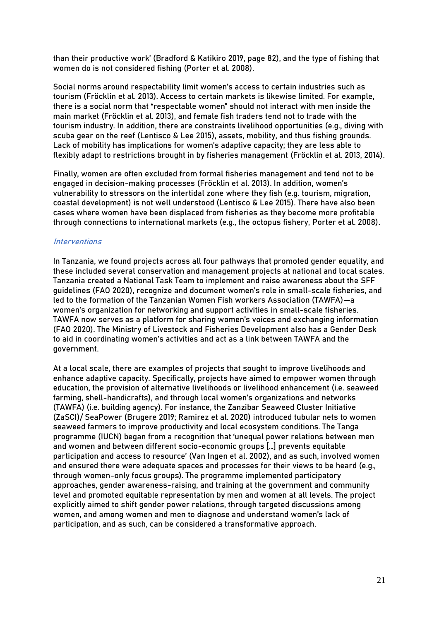than their productive work' (Bradford & Katikiro 2019, page 82), and the type of fishing that women do is not considered fishing (Porter et al. 2008).

Social norms around respectability limit women's access to certain industries such as tourism (Fröcklin et al. 2013). Access to certain markets is likewise limited. For example, there is a social norm that "respectable women" should not interact with men inside the main market (Fröcklin et al. 2013), and female fish traders tend not to trade with the tourism industry. In addition, there are constraints livelihood opportunities (e.g., diving with scuba gear on the reef (Lentisco & Lee 2015), assets, mobility, and thus fishing grounds. Lack of mobility has implications for women's adaptive capacity; they are less able to flexibly adapt to restrictions brought in by fisheries management (Fröcklin et al. 2013, 2014).

Finally, women are often excluded from formal fisheries management and tend not to be engaged in decision-making processes (Fröcklin et al. 2013). In addition, women's vulnerability to stressors on the intertidal zone where they fish (e.g. tourism, migration, coastal development) is not well understood (Lentisco & Lee 2015). There have also been cases where women have been displaced from fisheries as they become more profitable through connections to international markets (e.g., the octopus fishery, Porter et al. 2008).

### **Interventions**

In Tanzania, we found projects across all four pathways that promoted gender equality, and these included several conservation and management projects at national and local scales. Tanzania created a National Task Team to implement and raise awareness about the SFF guidelines (FAO 2020), recognize and document women's role in small-scale fisheries, and led to the formation of the Tanzanian Women Fish workers Association (TAWFA)—a women's organization for networking and support activities in small-scale fisheries. TAWFA now serves as a platform for sharing women's voices and exchanging information (FAO 2020). The Ministry of Livestock and Fisheries Development also has a Gender Desk to aid in coordinating women's activities and act as a link between TAWFA and the government.

At a local scale, there are examples of projects that sought to improve livelihoods and enhance adaptive capacity. Specifically, projects have aimed to empower women through education, the provision of alternative livelihoods or livelihood enhancement (i.e. seaweed farming, shell-handicrafts), and through local women's organizations and networks (TAWFA) (i.e. building agency). For instance, the Zanzibar Seaweed Cluster Initiative (ZaSCI)/ SeaPower (Brugere 2019; Ramirez et al. 2020) introduced tubular nets to women seaweed farmers to improve productivity and local ecosystem conditions. The Tanga programme (IUCN) began from a recognition that 'unequal power relations between men and women and between different socio-economic groups […] prevents equitable participation and access to resource' (Van Ingen et al. 2002), and as such, involved women and ensured there were adequate spaces and processes for their views to be heard (e.g., through women-only focus groups). The programme implemented participatory approaches, gender awareness-raising, and training at the government and community level and promoted equitable representation by men and women at all levels. The project explicitly aimed to shift gender power relations, through targeted discussions among women, and among women and men to diagnose and understand women's lack of participation, and as such, can be considered a transformative approach.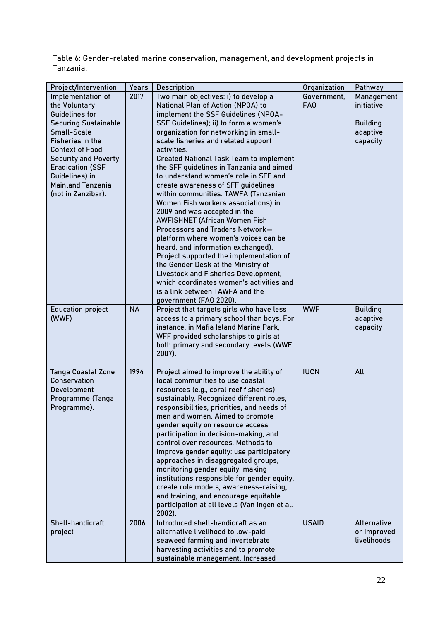Table 6: Gender-related marine conservation, management, and development projects in Tanzania.

| Project/Intervention        | Years     | <b>Description</b>                                         | Organization    | Pathway         |
|-----------------------------|-----------|------------------------------------------------------------|-----------------|-----------------|
| Implementation of           | 2017      | Two main objectives: i) to develop a                       | Government,     | Management      |
| the Voluntary               |           | National Plan of Action (NPOA) to                          | FA <sub>0</sub> | initiative      |
| Guidelines for              |           | implement the SSF Guidelines (NPOA-                        |                 |                 |
| <b>Securing Sustainable</b> |           | SSF Guidelines); ii) to form a women's                     |                 | <b>Building</b> |
| <b>Small-Scale</b>          |           | organization for networking in small-                      |                 | adaptive        |
| Fisheries in the            |           | scale fisheries and related support                        |                 | capacity        |
| <b>Context of Food</b>      |           | activities.                                                |                 |                 |
| <b>Security and Poverty</b> |           | <b>Created National Task Team to implement</b>             |                 |                 |
| <b>Eradication (SSF</b>     |           | the SFF guidelines in Tanzania and aimed                   |                 |                 |
| Guidelines) in              |           | to understand women's role in SFF and                      |                 |                 |
| <b>Mainland Tanzania</b>    |           | create awareness of SFF guidelines                         |                 |                 |
| (not in Zanzibar).          |           | within communities. TAWFA (Tanzanian                       |                 |                 |
|                             |           | Women Fish workers associations) in                        |                 |                 |
|                             |           | 2009 and was accepted in the                               |                 |                 |
|                             |           | <b>AWFISHNET (African Women Fish</b>                       |                 |                 |
|                             |           | Processors and Traders Network-                            |                 |                 |
|                             |           | platform where women's voices can be                       |                 |                 |
|                             |           | heard, and information exchanged).                         |                 |                 |
|                             |           | Project supported the implementation of                    |                 |                 |
|                             |           | the Gender Desk at the Ministry of                         |                 |                 |
|                             |           | Livestock and Fisheries Development,                       |                 |                 |
|                             |           | which coordinates women's activities and                   |                 |                 |
|                             |           | is a link between TAWFA and the                            |                 |                 |
|                             |           | government (FAO 2020).                                     |                 |                 |
| <b>Education project</b>    | <b>NA</b> | Project that targets girls who have less                   | <b>WWF</b>      | <b>Building</b> |
| (WWF)                       |           | access to a primary school than boys. For                  |                 | adaptive        |
|                             |           | instance, in Mafia Island Marine Park,                     |                 | capacity        |
|                             |           | WFF provided scholarships to girls at                      |                 |                 |
|                             |           | both primary and secondary levels (WWF                     |                 |                 |
|                             |           | $2007$ ).                                                  |                 |                 |
|                             |           |                                                            |                 |                 |
| <b>Tanga Coastal Zone</b>   | 1994      | Project aimed to improve the ability of                    | <b>IUCN</b>     | All             |
| <b>Conservation</b>         |           | local communities to use coastal                           |                 |                 |
| Development                 |           | resources (e.g., coral reef fisheries)                     |                 |                 |
| Programme (Tanga            |           | sustainably. Recognized different roles,                   |                 |                 |
| Programme).                 |           | responsibilities, priorities, and needs of                 |                 |                 |
|                             |           | men and women. Aimed to promote                            |                 |                 |
|                             |           | gender equity on resource access,                          |                 |                 |
|                             |           | participation in decision-making, and                      |                 |                 |
|                             |           | control over resources. Methods to                         |                 |                 |
|                             |           | improve gender equity: use participatory                   |                 |                 |
|                             |           | approaches in disaggregated groups,                        |                 |                 |
|                             |           | monitoring gender equity, making                           |                 |                 |
|                             |           | institutions responsible for gender equity,                |                 |                 |
|                             |           | create role models, awareness-raising,                     |                 |                 |
|                             |           | and training, and encourage equitable                      |                 |                 |
|                             |           | participation at all levels (Van Ingen et al.<br>$2002$ ). |                 |                 |
| Shell-handicraft            | 2006      | Introduced shell-handicraft as an                          | <b>USAID</b>    | Alternative     |
| project                     |           | alternative livelihood to low-paid                         |                 | or improved     |
|                             |           | seaweed farming and invertebrate                           |                 | livelihoods     |
|                             |           | harvesting activities and to promote                       |                 |                 |
|                             |           | sustainable management. Increased                          |                 |                 |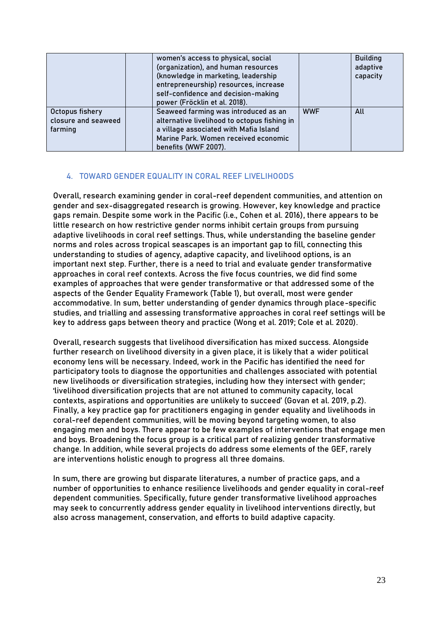|                                                   | women's access to physical, social<br>(organization), and human resources<br>(knowledge in marketing, leadership<br>entrepreneurship) resources, increase<br>self-confidence and decision-making<br>power (Fröcklin et al. 2018). |            | <b>Building</b><br>adaptive<br>capacity |
|---------------------------------------------------|-----------------------------------------------------------------------------------------------------------------------------------------------------------------------------------------------------------------------------------|------------|-----------------------------------------|
| Octopus fishery<br>closure and seaweed<br>farming | Seaweed farming was introduced as an<br>alternative livelihood to octopus fishing in<br>a village associated with Mafia Island<br>Marine Park, Women received economic<br>benefits (WWF 2007).                                    | <b>WWF</b> | All                                     |

# **4. TOWARD GENDER EQUALITY IN CORAL REEF LIVELIHOODS**

Overall, research examining gender in coral-reef dependent communities, and attention on gender and sex-disaggregated research is growing. However, key knowledge and practice gaps remain. Despite some work in the Pacific (i.e., Cohen et al. 2016), there appears to be little research on how restrictive gender norms inhibit certain groups from pursuing adaptive livelihoods in coral reef settings. Thus, while understanding the baseline gender norms and roles across tropical seascapes is an important gap to fill, connecting this understanding to studies of agency, adaptive capacity, and livelihood options, is an important next step. Further, there is a need to trial and evaluate gender transformative approaches in coral reef contexts. Across the five focus countries, we did find some examples of approaches that were gender transformative or that addressed some of the aspects of the Gender Equality Framework (Table 1), but overall, most were gender accommodative. In sum, better understanding of gender dynamics through place-specific studies, and trialling and assessing transformative approaches in coral reef settings will be key to address gaps between theory and practice (Wong et al. 2019; Cole et al. 2020).

Overall, research suggests that livelihood diversification has mixed success. Alongside further research on livelihood diversity in a given place, it is likely that a wider political economy lens will be necessary. Indeed, work in the Pacific has identified the need for participatory tools to diagnose the opportunities and challenges associated with potential new livelihoods or diversification strategies, including how they intersect with gender; 'livelihood diversification projects that are not attuned to community capacity, local contexts, aspirations and opportunities are unlikely to succeed' (Govan et al. 2019, p.2). Finally, a key practice gap for practitioners engaging in gender equality and livelihoods in coral-reef dependent communities, will be moving beyond targeting women, to also engaging men and boys. There appear to be few examples of interventions that engage men and boys. Broadening the focus group is a critical part of realizing gender transformative change. In addition, while several projects do address some elements of the GEF, rarely are interventions holistic enough to progress all three domains.

In sum, there are growing but disparate literatures, a number of practice gaps, and a number of opportunities to enhance resilience livelihoods and gender equality in coral-reef dependent communities. Specifically, future gender transformative livelihood approaches may seek to concurrently address gender equality in livelihood interventions directly, but also across management, conservation, and efforts to build adaptive capacity.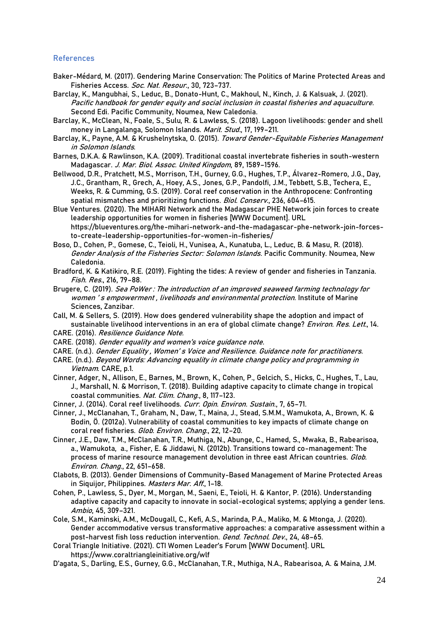#### **References**

- Baker-Médard, M. (2017). Gendering Marine Conservation: The Politics of Marine Protected Areas and Fisheries Access. Soc. Nat. Resour., 30, 723–737.
- Barclay, K., Mangubhai, S., Leduc, B., Donato-Hunt, C., Makhoul, N., Kinch, J. & Kalsuak, J. (2021). Pacific handbook for gender equity and social inclusion in coastal fisheries and aquaculture. Second Edi. Pacific Community, Noumea, New Caledonia.
- Barclay, K., McClean, N., Foale, S., Sulu, R. & Lawless, S. (2018). Lagoon livelihoods: gender and shell money in Langalanga, Solomon Islands. Marit. Stud., 17, 199-211.
- Barclay, K., Payne, A.M. & Krushelnytska, O. (2015). Toward Gender-Equitable Fisheries Management in Solomon Islands.
- Barnes, D.K.A. & Rawlinson, K.A. (2009). Traditional coastal invertebrate fisheries in south-western Madagascar. J. Mar. Biol. Assoc. United Kingdom, 89, 1589–1596.
- Bellwood, D.R., Pratchett, M.S., Morrison, T.H., Gurney, G.G., Hughes, T.P., Álvarez-Romero, J.G., Day, J.C., Grantham, R., Grech, A., Hoey, A.S., Jones, G.P., Pandolfi, J.M., Tebbett, S.B., Techera, E., Weeks, R. & Cumming, G.S. (2019). Coral reef conservation in the Anthropocene: Confronting spatial mismatches and prioritizing functions. Biol. Conserv., 236, 604-615.
- Blue Ventures. (2020). The MIHARI Network and the Madagascar PHE Network join forces to create leadership opportunities for women in fisheries [WWW Document]. URL https://blueventures.org/the-mihari-network-and-the-madagascar-phe-network-join-forcesto-create-leadership-opportunities-for-women-in-fisheries/
- Boso, D., Cohen, P., Gomese, C., Teioli, H., Vunisea, A., Kunatuba, L., Leduc, B. & Masu, R. (2018). Gender Analysis of the Fisheries Sector: Solomon Islands. Pacific Community. Noumea, New Caledonia.
- Bradford, K. & Katikiro, R.E. (2019). Fighting the tides: A review of gender and fisheries in Tanzania. Fish. Res., 216, 79–88.
- Brugere, C. (2019). Sea PoWer : The introduction of an improved seaweed farming technology for women 's empowerment, livelihoods and environmental protection. Institute of Marine Sciences, Zanzibar.
- Call, M. & Sellers, S. (2019). How does gendered vulnerability shape the adoption and impact of sustainable livelihood interventions in an era of global climate change? Environ. Res. Lett., 14.
- CARE. (2016). Resilience Guidance Note.
- CARE. (2018). Gender equality and women's voice guidance note.
- CARE. (n.d.). Gender Equality , Women' s Voice and Resilience. Guidance note for practitioners.
- CARE. (n.d.). Beyond Words: Advancing equality in climate change policy and programming in Vietnam. CARE, p.1.
- Cinner, Adger, N., Allison, E., Barnes, M., Brown, K., Cohen, P., Gelcich, S., Hicks, C., Hughes, T., Lau, J., Marshall, N. & Morrison, T. (2018). Building adaptive capacity to climate change in tropical coastal communities. Nat. Clim. Chang., 8, 117-123.
- Cinner, J. (2014). Coral reef livelihoods. Curr. Opin. Environ. Sustain., 7, 65-71.
- Cinner, J., McClanahan, T., Graham, N., Daw, T., Maina, J., Stead, S.M.M., Wamukota, A., Brown, K. & Bodin, Ö. (2012a). Vulnerability of coastal communities to key impacts of climate change on coral reef fisheries. Glob. Environ. Chang., 22, 12-20.
- Cinner, J.E., Daw, T.M., McClanahan, T.R., Muthiga, N., Abunge, C., Hamed, S., Mwaka, B., Rabearisoa, a., Wamukota, a., Fisher, E. & Jiddawi, N. (2012b). Transitions toward co-management: The process of marine resource management devolution in three east African countries. Glob. Environ. Chang., 22, 651–658.
- Clabots, B. (2013). Gender Dimensions of Community-Based Management of Marine Protected Areas in Siquijor, Philippines. Masters Mar. Aff., 1-18.
- Cohen, P., Lawless, S., Dyer, M., Morgan, M., Saeni, E., Teioli, H. & Kantor, P. (2016). Understanding adaptive capacity and capacity to innovate in social-ecological systems; applying a gender lens. Ambio, 45, 309–321.
- Cole, S.M., Kaminski, A.M., McDougall, C., Kefi, A.S., Marinda, P.A., Maliko, M. & Mtonga, J. (2020). Gender accommodative versus transformative approaches: a comparative assessment within a post-harvest fish loss reduction intervention. Gend. Technol. Dev., 24, 48-65.
- Coral Triangle Initiative. (2021). CTI Women Leader's Forum [WWW Document]. URL https://www.coraltriangleinitiative.org/wlf
- D'agata, S., Darling, E.S., Gurney, G.G., McClanahan, T.R., Muthiga, N.A., Rabearisoa, A. & Maina, J.M.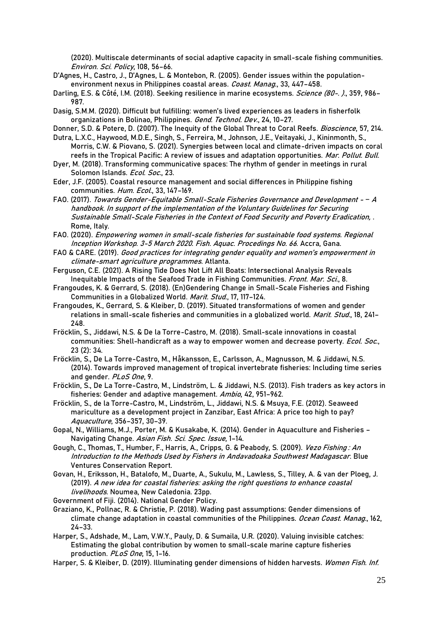(2020). Multiscale determinants of social adaptive capacity in small-scale fishing communities. Environ. Sci. Policy, 108, 56–66.

- D'Agnes, H., Castro, J., D'Agnes, L. & Montebon, R. (2005). Gender issues within the populationenvironment nexus in Philippines coastal areas. Coast. Manag., 33, 447-458.
- Darling, E.S. & Côté, I.M. (2018). Seeking resilience in marine ecosystems. Science (80-. )., 359, 986-987.
- Dasig, S.M.M. (2020). Difficult but fulfilling: women's lived experiences as leaders in fisherfolk organizations in Bolinao, Philippines. *Gend. Technol. Dev.*, 24, 10-27.
- Donner, S.D. & Potere, D. (2007). The Inequity of the Global Threat to Coral Reefs. Bioscience, 57, 214.
- Dutra, L.X.C., Haywood, M.D.E., Singh, S., Ferreira, M., Johnson, J.E., Veitayaki, J., Kininmonth, S., Morris, C.W. & Piovano, S. (2021). Synergies between local and climate-driven impacts on coral reefs in the Tropical Pacific: A review of issues and adaptation opportunities. Mar. Pollut. Bull.
- Dyer, M. (2018). Transforming communicative spaces: The rhythm of gender in meetings in rural Solomon Islands. Ecol. Soc., 23.
- Eder, J.F. (2005). Coastal resource management and social differences in Philippine fishing communities. Hum. Ecol., 33, 147–169.
- FAO. (2017). Towards Gender-Equitable Small-Scale Fisheries Governance and Development *−* <sup>A</sup> handbook. In support of the implementation of the Voluntary Guidelines for Securing Sustainable Small-Scale Fisheries in the Context of Food Security and Poverty Eradication, . Rome, Italy.
- FAO. (2020). Empowering women in small-scale fisheries for sustainable food systems. Regional Inception Workshop. 3-5 March 2020. Fish. Aquac. Procedings No. 66. Accra, Gana.
- FAO & CARE. (2019). Good practices for integrating gender equality and women's empowerment in climate-smart agriculture programmes. Atlanta.
- Ferguson, C.E. (2021). A Rising Tide Does Not Lift All Boats: Intersectional Analysis Reveals Inequitable Impacts of the Seafood Trade in Fishing Communities. Front. Mar. Sci., 8.
- Frangoudes, K. & Gerrard, S. (2018). (En)Gendering Change in Small-Scale Fisheries and Fishing Communities in a Globalized World. Marit. Stud., 17, 117-124.
- Frangoudes, K., Gerrard, S. & Kleiber, D. (2019). Situated transformations of women and gender relations in small-scale fisheries and communities in a globalized world. Marit. Stud., 18, 241-248.
- Fröcklin, S., Jiddawi, N.S. & De la Torre-Castro, M. (2018). Small-scale innovations in coastal communities: Shell-handicraft as a way to empower women and decrease poverty. Ecol. Soc., 23 (2): 34.
- Fröcklin, S., De La Torre-Castro, M., Håkansson, E., Carlsson, A., Magnusson, M. & Jiddawi, N.S. (2014). Towards improved management of tropical invertebrate fisheries: Including time series and gender. PLoS One, 9.
- Fröcklin, S., De La Torre-Castro, M., Lindström, L. & Jiddawi, N.S. (2013). Fish traders as key actors in fisheries: Gender and adaptive management. Ambio, 42, 951-962.
- Fröcklin, S., de la Torre-Castro, M., Lindström, L., Jiddawi, N.S. & Msuya, F.E. (2012). Seaweed mariculture as a development project in Zanzibar, East Africa: A price too high to pay? Aquaculture, 356–357, 30–39.
- Gopal, N., Williams, M.J., Porter, M. & Kusakabe, K. (2014). Gender in Aquaculture and Fisheries Navigating Change. Asian Fish. Sci. Spec. Issue, 1-14.
- Gough, C., Thomas, T., Humber, F., Harris, A., Cripps, G. & Peabody, S. (2009). Vezo Fishing: An Introduction to the Methods Used by Fishers in Andavadoaka Southwest Madagascar. Blue Ventures Conservation Report.
- Govan, H., Eriksson, H., Batalofo, M., Duarte, A., Sukulu, M., Lawless, S., Tilley, A. & van der Ploeg, J. (2019). A new idea for coastal fisheries: asking the right questions to enhance coastal livelihoods. Noumea, New Caledonia. 23pp.
- Government of Fiji. (2014). National Gender Policy.
- Graziano, K., Pollnac, R. & Christie, P. (2018). Wading past assumptions: Gender dimensions of climate change adaptation in coastal communities of the Philippines. Ocean Coast. Manag., 162, 24–33.
- Harper, S., Adshade, M., Lam, V.W.Y., Pauly, D. & Sumaila, U.R. (2020). Valuing invisible catches: Estimating the global contribution by women to small-scale marine capture fisheries production. PLoS One, 15, 1-16.
- Harper, S. & Kleiber, D. (2019). Illuminating gender dimensions of hidden harvests. Women Fish. Inf.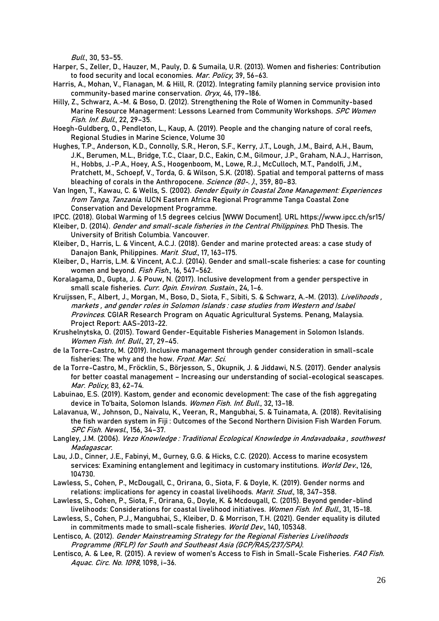Bull., 30, 53–55.

- Harper, S., Zeller, D., Hauzer, M., Pauly, D. & Sumaila, U.R. (2013). Women and fisheries: Contribution to food security and local economies. Mar. Policy, 39, 56-63.
- Harris, A., Mohan, V., Flanagan, M. & Hill, R. (2012). Integrating family planning service provision into community-based marine conservation. Oryx, 46, 179–186.
- Hilly, Z., Schwarz, A.-M. & Boso, D. (2012). Strengthening the Role of Women in Community-based Marine Resource Managerment: Lessons Learned from Community Workshops. SPC Women Fish. Inf. Bull., 22, 29–35.
- Hoegh-Guldberg, O., Pendleton, L., Kaup, A. (2019). People and the changing nature of coral reefs, Regional Studies in Marine Science, Volume 30
- Hughes, T.P., Anderson, K.D., Connolly, S.R., Heron, S.F., Kerry, J.T., Lough, J.M., Baird, A.H., Baum, J.K., Berumen, M.L., Bridge, T.C., Claar, D.C., Eakin, C.M., Gilmour, J.P., Graham, N.A.J., Harrison, H., Hobbs, J.-P.A., Hoey, A.S., Hoogenboom, M., Lowe, R.J., McCulloch, M.T., Pandolfi, J.M., Pratchett, M., Schoepf, V., Torda, G. & Wilson, S.K. (2018). Spatial and temporal patterns of mass bleaching of corals in the Anthropocene. Science (80-. )., 359, 80-83.
- Van Ingen, T., Kawau, C. & Wells, S. (2002). Gender Equity in Coastal Zone Management: Experiences from Tanga, Tanzania. IUCN Eastern Africa Regional Programme Tanga Coastal Zone Conservation and Development Programme.
- IPCC. (2018). Global Warming of 1.5 degrees celcius [WWW Document]. URL https://www.ipcc.ch/sr15/
- Kleiber, D. (2014). Gender and small-scale fisheries in the Central Philippines. PhD Thesis. The University of British Columbia. Vancouver.
- Kleiber, D., Harris, L. & Vincent, A.C.J. (2018). Gender and marine protected areas: a case study of Danajon Bank, Philippines. Marit. Stud., 17, 163-175.
- Kleiber, D., Harris, L.M. & Vincent, A.C.J. (2014). Gender and small-scale fisheries: a case for counting women and beyond. Fish Fish., 16, 547-562.
- Koralagama, D., Gupta, J. & Pouw, N. (2017). Inclusive development from a gender perspective in small scale fisheries. Curr. Opin. Environ. Sustain., 24, 1-6.
- Kruijssen, F., Albert, J., Morgan, M., Boso, D., Siota, F., Sibiti, S. & Schwarz, A.-M. (2013). Livelihoods, markets , and gender roles in Solomon Islands : case studies from Western and Isabel Provinces. CGIAR Research Program on Aquatic Agricultural Systems. Penang, Malaysia. Project Report: AAS-2013-22.
- Krushelnytska, O. (2015). Toward Gender-Equitable Fisheries Management in Solomon Islands. Women Fish. Inf. Bull., 27, 29–45.
- de la Torre-Castro, M. (2019). Inclusive management through gender consideration in small-scale fisheries: The why and the how. Front. Mar. Sci.
- de la Torre-Castro, M., Fröcklin, S., Börjesson, S., Okupnik, J. & Jiddawi, N.S. (2017). Gender analysis for better coastal management – Increasing our understanding of social-ecological seascapes. Mar. Policy, 83, 62–74.
- Labuinao, E.S. (2019). Kastom, gender and economic development: The case of the fish aggregating device in To'baita, Solomon Islands. Women Fish. Inf. Bull., 32, 13-18.
- Lalavanua, W., Johnson, D., Naivalu, K., Veeran, R., Mangubhai, S. & Tuinamata, A. (2018). Revitalising the fish warden system in Fiji : Outcomes of the Second Northern Division Fish Warden Forum. SPC Fish. Newsl., 156, 34–37.
- Langley, J.M. (2006). Vezo Knowledge: Traditional Ecological Knowledge in Andavadoaka, southwest Madagascar.
- Lau, J.D., Cinner, J.E., Fabinyi, M., Gurney, G.G. & Hicks, C.C. (2020). Access to marine ecosystem services: Examining entanglement and legitimacy in customary institutions. World Dev., 126, 104730.
- Lawless, S., Cohen, P., McDougall, C., Orirana, G., Siota, F. & Doyle, K. (2019). Gender norms and relations: implications for agency in coastal livelihoods. Marit. Stud., 18, 347-358.
- Lawless, S., Cohen, P., Siota, F., Orirana, G., Doyle, K. & Mcdougall, C. (2015). Beyond gender-blind livelihoods: Considerations for coastal livelihood initiatives. Women Fish. Inf. Bull., 31, 15-18.
- Lawless, S., Cohen, P.J., Mangubhai, S., Kleiber, D. & Morrison, T.H. (2021). Gender equality is diluted in commitments made to small-scale fisheries. World Dev., 140, 105348.

Lentisco, A. (2012). Gender Mainstreaming Strategy for the Regional Fisheries Livelihoods Programme (RFLP) for South and Southeast Asia (GCP/RAS/237/SPA).

Lentisco, A. & Lee, R. (2015). A review of women's Access to Fish in Small-Scale Fisheries. FAO Fish. Aquac. Circ. No. 1098, 1098, i–36.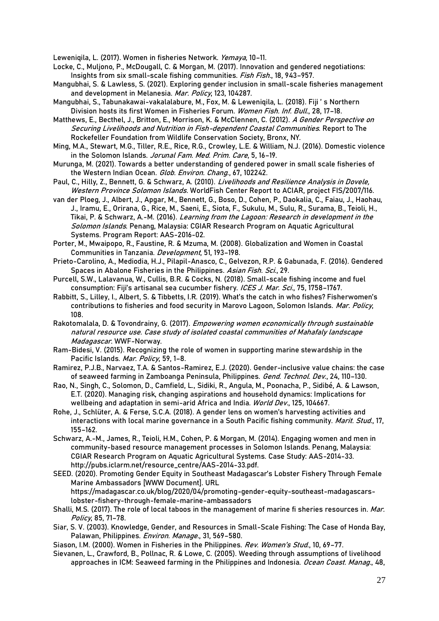Leweniqila, L. (2017). Women in fisheries Network. Yemaya, 10–11.

- Locke, C., Muljono, P., McDougall, C. & Morgan, M. (2017). Innovation and gendered negotiations: Insights from six small-scale fishing communities. Fish Fish., 18, 943-957.
- Mangubhai, S. & Lawless, S. (2021). Exploring gender inclusion in small-scale fisheries management and development in Melanesia. Mar. Policy, 123, 104287.
- Mangubhai, S., Tabunakawai-vakalalabure, M., Fox, M. & Leweniqila, L. (2018). Fiji ' s Northern Division hosts its first Women in Fisheries Forum. Women Fish. Inf. Bull., 28, 17–18.
- Matthews, E., Becthel, J., Britton, E., Morrison, K. & McClennen, C. (2012). A Gender Perspective on Securing Livelihoods and Nutrition in Fish-dependent Coastal Communities. Report to The Rockefeller Foundation from Wildlife Conservation Society, Bronx, NY.
- Ming, M.A., Stewart, M.G., Tiller, R.E., Rice, R.G., Crowley, L.E. & William, N.J. (2016). Domestic violence in the Solomon Islands. Jorunal Fam. Med. Prim. Care, 5, 16–19.
- Murunga, M. (2021). Towards a better understanding of gendered power in small scale fisheries of the Western Indian Ocean. Glob. Environ. Chang., 67, 102242.
- Paul, C., Hilly, Z., Bennett, G. & Schwarz, A. (2010). Livelihoods and Resilience Analysis in Dovele, Western Province Solomon Islands. WorldFish Center Report to ACIAR, project FIS/2007/116.
- van der Ploeg, J., Albert, J., Apgar, M., Bennett, G., Boso, D., Cohen, P., Daokalia, C., Faiau, J., Haohau, J., Iramu, E., Orirana, G., Rice, M., Saeni, E., Siota, F., Sukulu, M., Sulu, R., Surama, B., Teioli, H., Tikai, P. & Schwarz, A.-M. (2016). Learning from the Lagoon: Research in development in the Solomon Islands. Penang, Malaysia: CGIAR Research Program on Aquatic Agricultural Systems. Program Report: AAS-2016-02.
- Porter, M., Mwaipopo, R., Faustine, R. & Mzuma, M. (2008). Globalization and Women in Coastal Communities in Tanzania. Development, 51, 193–198.
- Prieto-Carolino, A., Mediodia, H.J., Pilapil-Anasco, C., Gelvezon, R.P. & Gabunada, F. (2016). Gendered Spaces in Abalone Fisheries in the Philippines. Asian Fish. Sci., 29.
- Purcell, S.W., Lalavanua, W., Cullis, B.R. & Cocks, N. (2018). Small-scale fishing income and fuel consumption: Fiji's artisanal sea cucumber fishery. ICES J. Mar. Sci., 75, 1758-1767.
- Rabbitt, S., Lilley, I., Albert, S. & Tibbetts, I.R. (2019). What's the catch in who fishes? Fisherwomen's contributions to fisheries and food security in Marovo Lagoon, Solomon Islands. Mar. Policy, 108.
- Rakotomalala, D. & Tovondrainy, G. (2017). Empowering women economically through sustainable natural resource use. Case study of isolated coastal communities of Mahafaly landscape Madagascar. WWF-Norway.
- Ram-Bidesi, V. (2015). Recognizing the role of women in supporting marine stewardship in the Pacific Islands. Mar. Policy, 59, 1-8.
- Ramirez, P.J.B., Narvaez, T.A. & Santos-Ramirez, E.J. (2020). Gender-inclusive value chains: the case of seaweed farming in Zamboanga Peninsula, Philippines. Gend. Technol. Dev., 24, 110-130.
- Rao, N., Singh, C., Solomon, D., Camfield, L., Sidiki, R., Angula, M., Poonacha, P., Sidibé, A. & Lawson, E.T. (2020). Managing risk, changing aspirations and household dynamics: Implications for wellbeing and adaptation in semi-arid Africa and India. World Dev., 125, 104667.
- Rohe, J., Schlüter, A. & Ferse, S.C.A. (2018). A gender lens on women's harvesting activities and interactions with local marine governance in a South Pacific fishing community. Marit. Stud., 17, 155–162.
- Schwarz, A.-M., James, R., Teioli, H.M., Cohen, P. & Morgan, M. (2014). Engaging women and men in community-based resource management processes in Solomon Islands. Penang, Malaysia: CGIAR Research Program on Aquatic Agricultural Systems. Case Study: AAS-2014-33. http://pubs.iclarm.net/resource\_centre/AAS-2014-33.pdf.
- SEED. (2020). Promoting Gender Equity in Southeast Madagascar's Lobster Fishery Through Female Marine Ambassadors [WWW Document]. URL https://madagascar.co.uk/blog/2020/04/promoting-gender-equity-southeast-madagascarslobster-fishery-through-female-marine-ambassadors
- Shalli, M.S. (2017). The role of local taboos in the management of marine fi sheries resources in. Mar. Policy, 85, 71–78.
- Siar, S. V. (2003). Knowledge, Gender, and Resources in Small-Scale Fishing: The Case of Honda Bay, Palawan, Philippines. Environ. Manage., 31, 569-580.
- Siason, I.M. (2000). Women in Fisheries in the Philippines. Rev. Women's Stud., 10, 69-77.
- Sievanen, L., Crawford, B., Pollnac, R. & Lowe, C. (2005). Weeding through assumptions of livelihood approaches in ICM: Seaweed farming in the Philippines and Indonesia. Ocean Coast. Manag., 48,